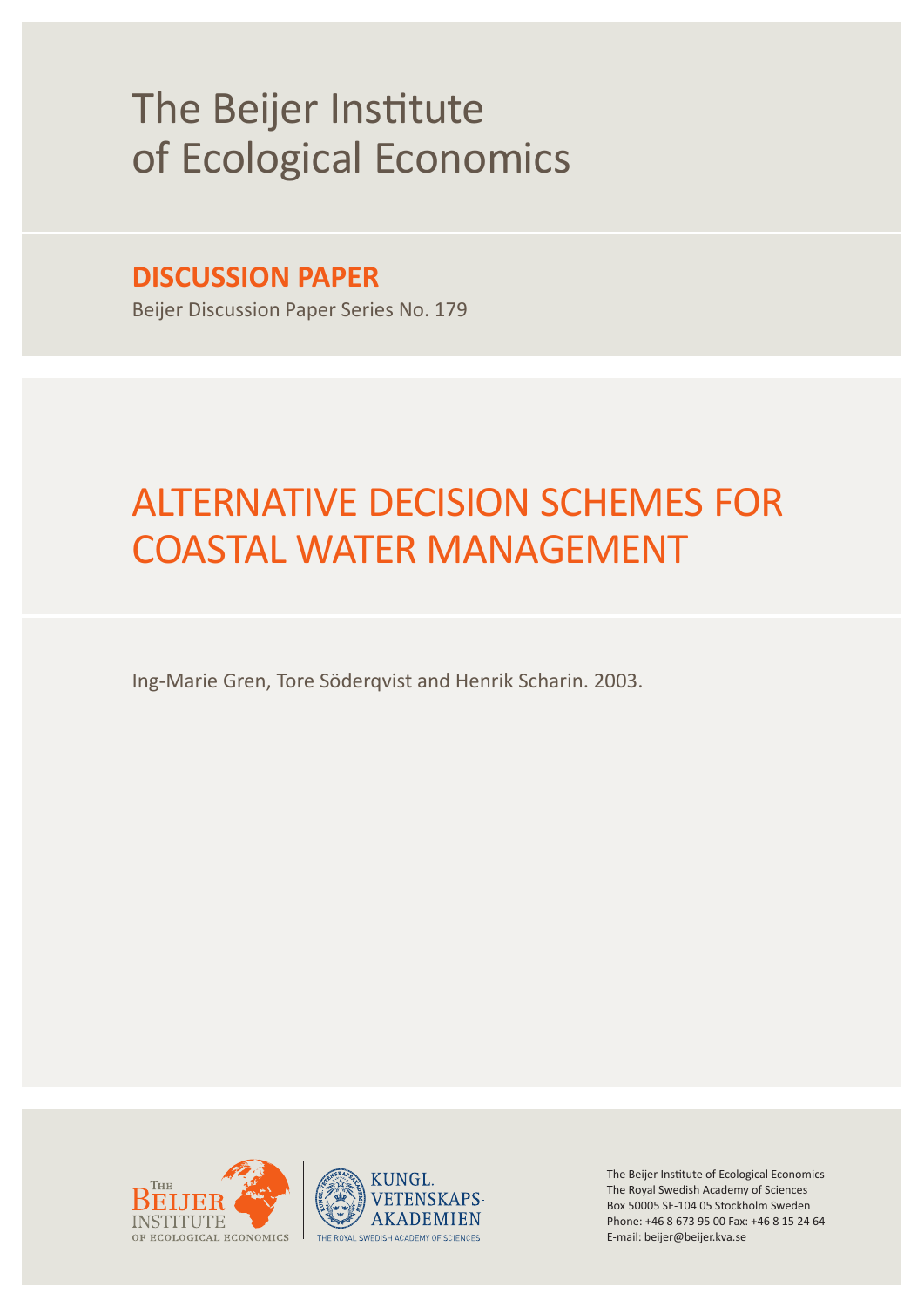# The Beijer Institute of Ecological Economics

# **DISCUSSION PAPER**

Beijer Discussion Paper Series No. 179

# ALTERNATIVE DECISION SCHEMES FOR COASTAL WATER MANAGEMENT

Ing-Marie Gren, Tore Söderqvist and Henrik Scharin. 2003.





The Beijer Institute of Ecological Economics The Royal Swedish Academy of Sciences Box 50005 SE-104 05 Stockholm Sweden Phone: +46 8 673 95 00 Fax: +46 8 15 24 64 E-mail: beijer@beijer.kva.se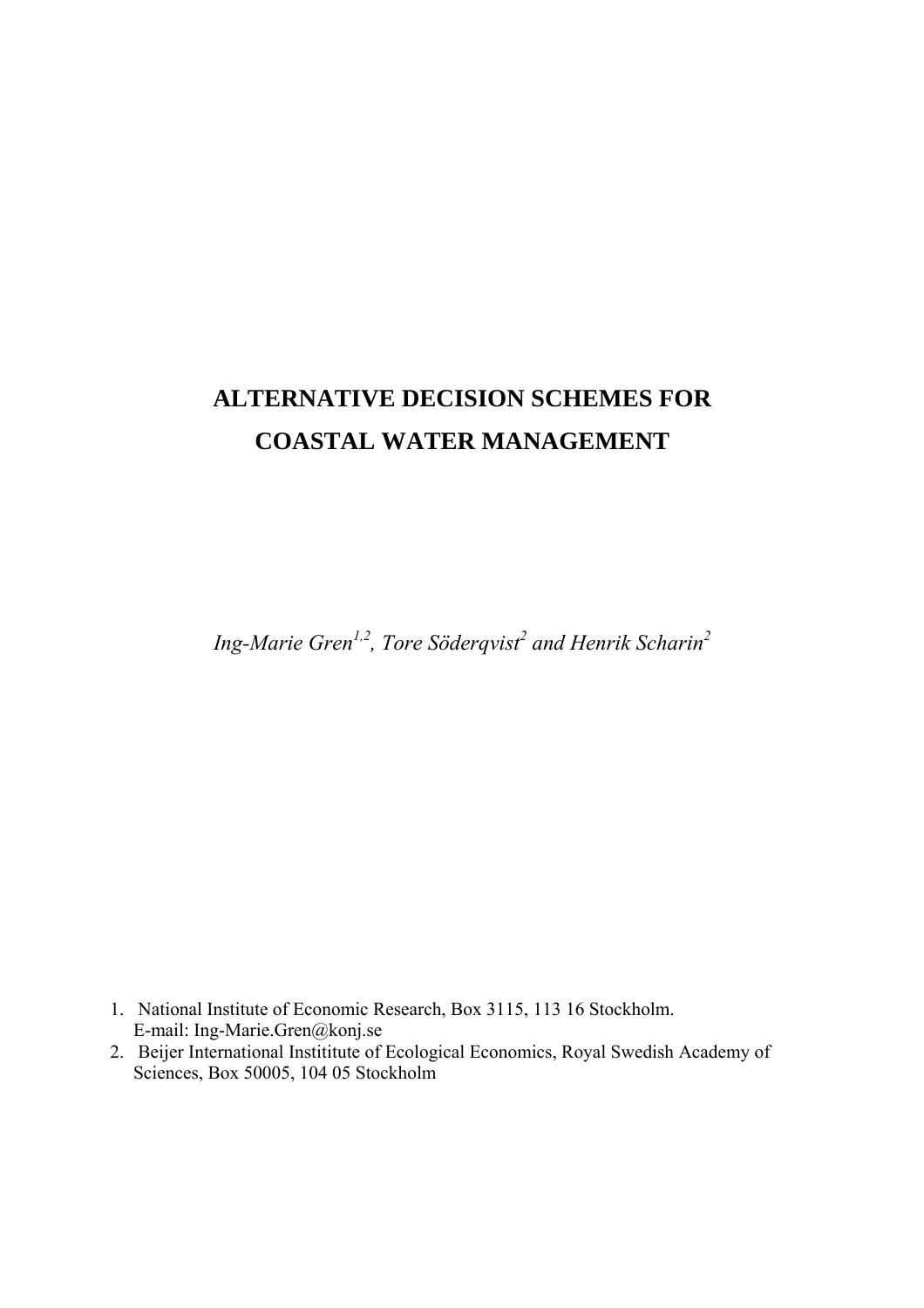# **ALTERNATIVE DECISION SCHEMES FOR COASTAL WATER MANAGEMENT**

*Ing-Marie Gren<sup>1,2</sup>, Tore Söderqvist<sup>2</sup> and Henrik Scharin<sup>2</sup>* 

- 1. National Institute of Economic Research, Box 3115, 113 16 Stockholm. E-mail: Ing-Marie.Gren@konj.se
- 2. Beijer International Instititute of Ecological Economics, Royal Swedish Academy of Sciences, Box 50005, 104 05 Stockholm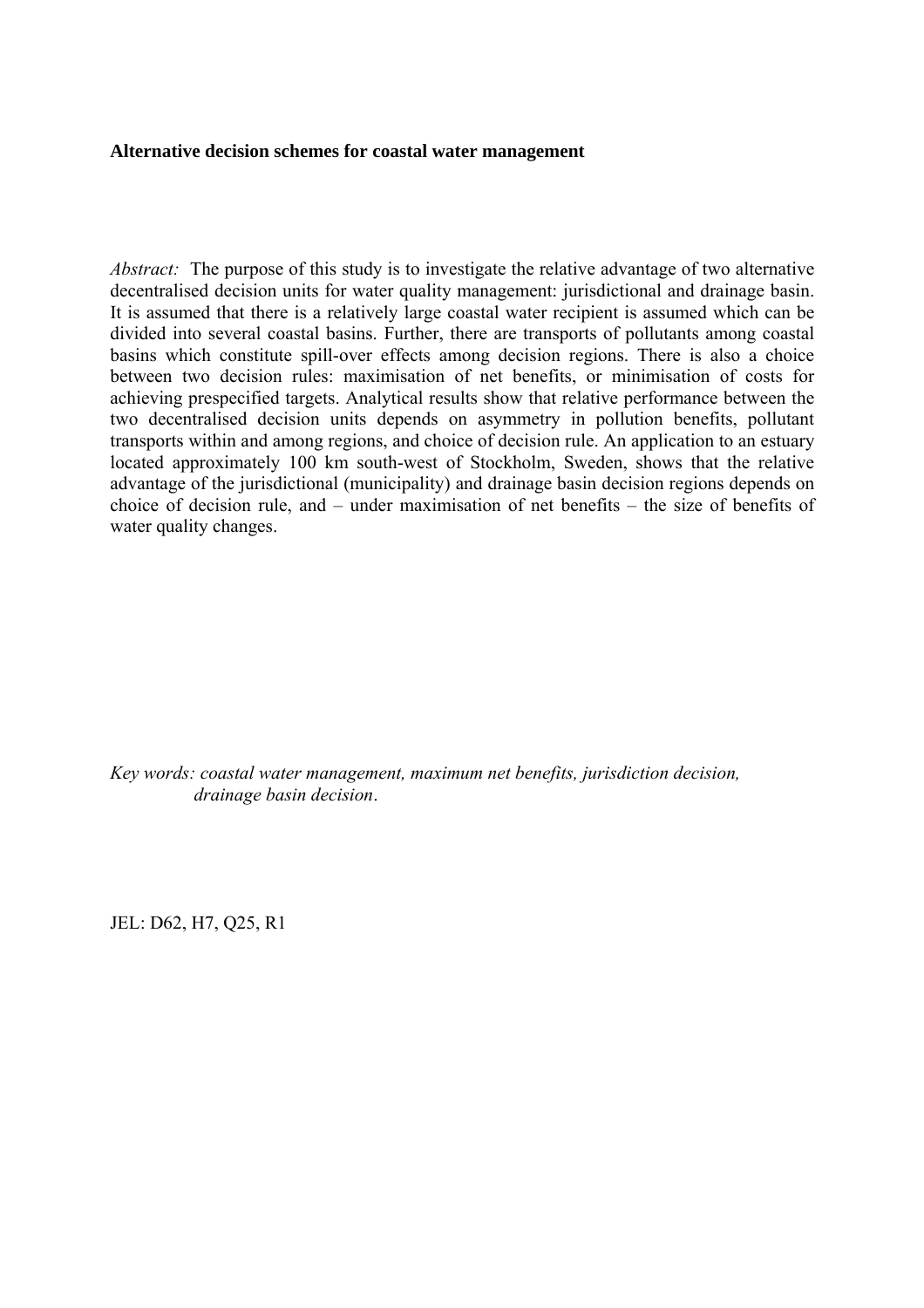#### **Alternative decision schemes for coastal water management**

*Abstract:* The purpose of this study is to investigate the relative advantage of two alternative decentralised decision units for water quality management: jurisdictional and drainage basin. It is assumed that there is a relatively large coastal water recipient is assumed which can be divided into several coastal basins. Further, there are transports of pollutants among coastal basins which constitute spill-over effects among decision regions. There is also a choice between two decision rules: maximisation of net benefits, or minimisation of costs for achieving prespecified targets. Analytical results show that relative performance between the two decentralised decision units depends on asymmetry in pollution benefits, pollutant transports within and among regions, and choice of decision rule. An application to an estuary located approximately 100 km south-west of Stockholm, Sweden, shows that the relative advantage of the jurisdictional (municipality) and drainage basin decision regions depends on choice of decision rule, and – under maximisation of net benefits – the size of benefits of water quality changes.

*Key words: coastal water management, maximum net benefits, jurisdiction decision, drainage basin decision*.

JEL: D62, H7, Q25, R1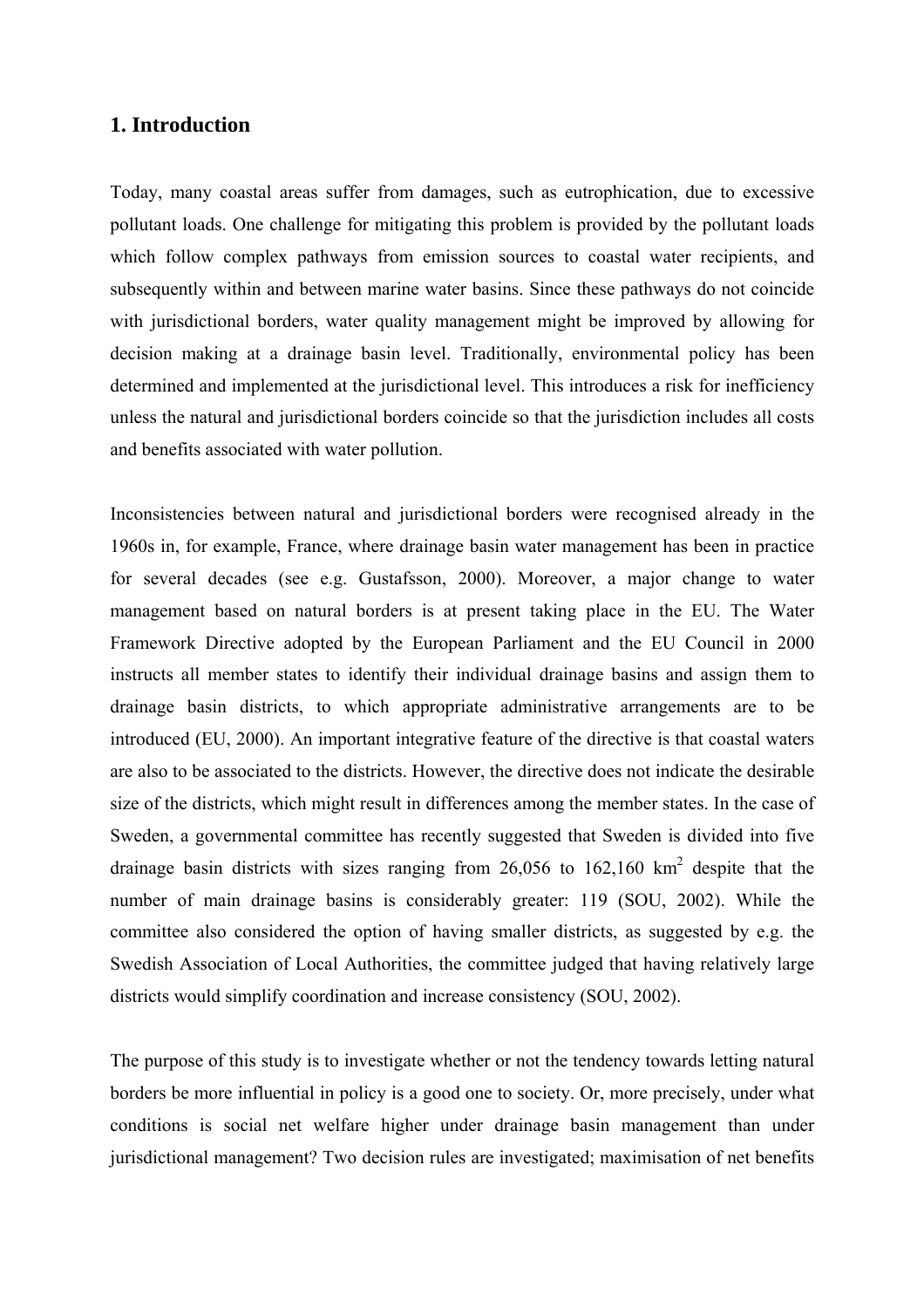#### **1. Introduction**

Today, many coastal areas suffer from damages, such as eutrophication, due to excessive pollutant loads. One challenge for mitigating this problem is provided by the pollutant loads which follow complex pathways from emission sources to coastal water recipients, and subsequently within and between marine water basins. Since these pathways do not coincide with jurisdictional borders, water quality management might be improved by allowing for decision making at a drainage basin level. Traditionally, environmental policy has been determined and implemented at the jurisdictional level. This introduces a risk for inefficiency unless the natural and jurisdictional borders coincide so that the jurisdiction includes all costs and benefits associated with water pollution.

Inconsistencies between natural and jurisdictional borders were recognised already in the 1960s in, for example, France, where drainage basin water management has been in practice for several decades (see e.g. Gustafsson, 2000). Moreover, a major change to water management based on natural borders is at present taking place in the EU. The Water Framework Directive adopted by the European Parliament and the EU Council in 2000 instructs all member states to identify their individual drainage basins and assign them to drainage basin districts, to which appropriate administrative arrangements are to be introduced (EU, 2000). An important integrative feature of the directive is that coastal waters are also to be associated to the districts. However, the directive does not indicate the desirable size of the districts, which might result in differences among the member states. In the case of Sweden, a governmental committee has recently suggested that Sweden is divided into five drainage basin districts with sizes ranging from 26,056 to 162,160  $km^2$  despite that the number of main drainage basins is considerably greater: 119 (SOU, 2002). While the committee also considered the option of having smaller districts, as suggested by e.g. the Swedish Association of Local Authorities, the committee judged that having relatively large districts would simplify coordination and increase consistency (SOU, 2002).

The purpose of this study is to investigate whether or not the tendency towards letting natural borders be more influential in policy is a good one to society. Or, more precisely, under what conditions is social net welfare higher under drainage basin management than under jurisdictional management? Two decision rules are investigated; maximisation of net benefits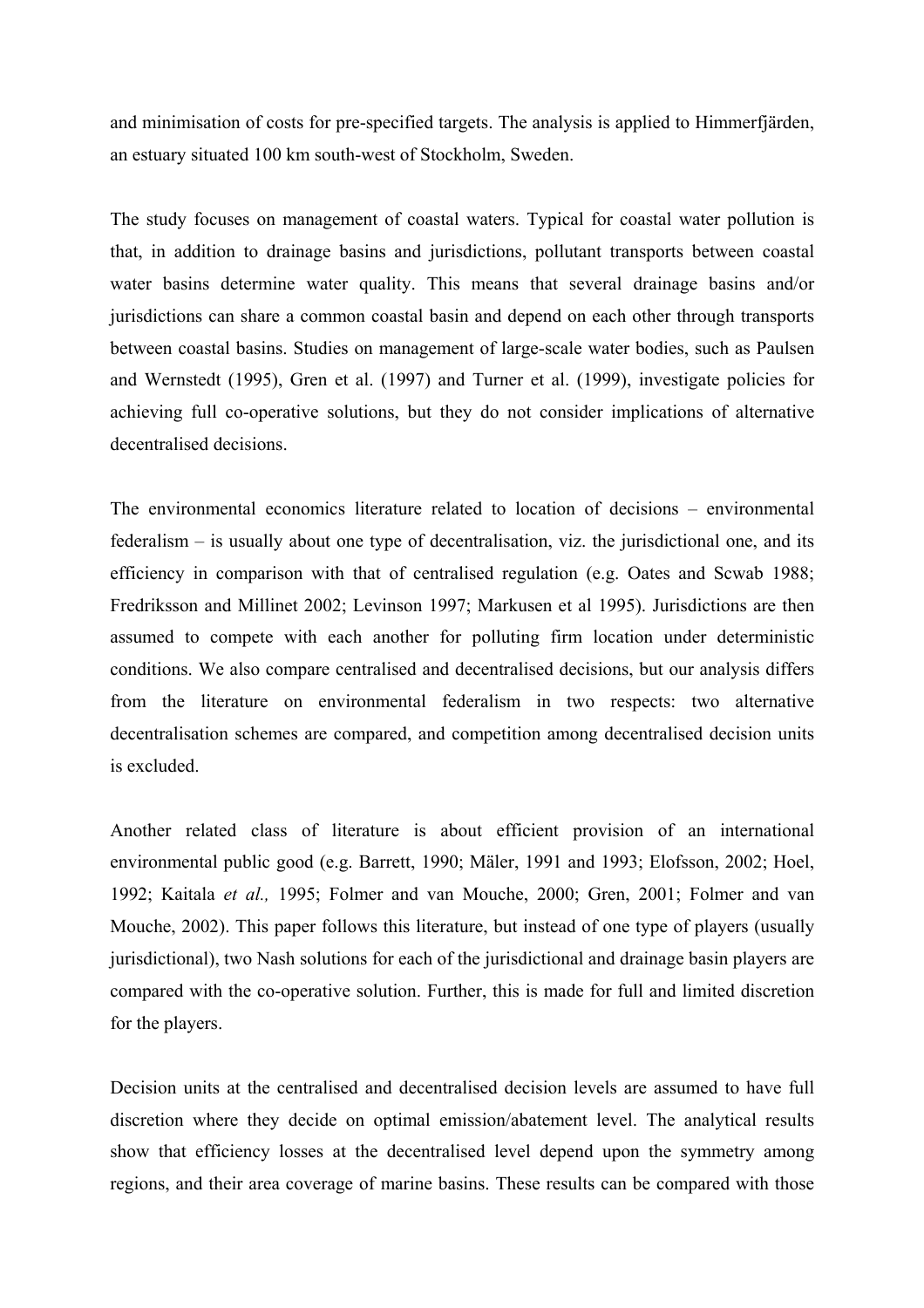and minimisation of costs for pre-specified targets. The analysis is applied to Himmerfjärden, an estuary situated 100 km south-west of Stockholm, Sweden.

The study focuses on management of coastal waters. Typical for coastal water pollution is that, in addition to drainage basins and jurisdictions, pollutant transports between coastal water basins determine water quality. This means that several drainage basins and/or jurisdictions can share a common coastal basin and depend on each other through transports between coastal basins. Studies on management of large-scale water bodies, such as Paulsen and Wernstedt (1995), Gren et al. (1997) and Turner et al. (1999), investigate policies for achieving full co-operative solutions, but they do not consider implications of alternative decentralised decisions.

The environmental economics literature related to location of decisions – environmental federalism – is usually about one type of decentralisation, viz. the jurisdictional one, and its efficiency in comparison with that of centralised regulation (e.g. Oates and Scwab 1988; Fredriksson and Millinet 2002; Levinson 1997; Markusen et al 1995). Jurisdictions are then assumed to compete with each another for polluting firm location under deterministic conditions. We also compare centralised and decentralised decisions, but our analysis differs from the literature on environmental federalism in two respects: two alternative decentralisation schemes are compared, and competition among decentralised decision units is excluded.

Another related class of literature is about efficient provision of an international environmental public good (e.g. Barrett, 1990; Mäler, 1991 and 1993; Elofsson, 2002; Hoel, 1992; Kaitala *et al.,* 1995; Folmer and van Mouche, 2000; Gren, 2001; Folmer and van Mouche, 2002). This paper follows this literature, but instead of one type of players (usually jurisdictional), two Nash solutions for each of the jurisdictional and drainage basin players are compared with the co-operative solution. Further, this is made for full and limited discretion for the players.

Decision units at the centralised and decentralised decision levels are assumed to have full discretion where they decide on optimal emission/abatement level. The analytical results show that efficiency losses at the decentralised level depend upon the symmetry among regions, and their area coverage of marine basins. These results can be compared with those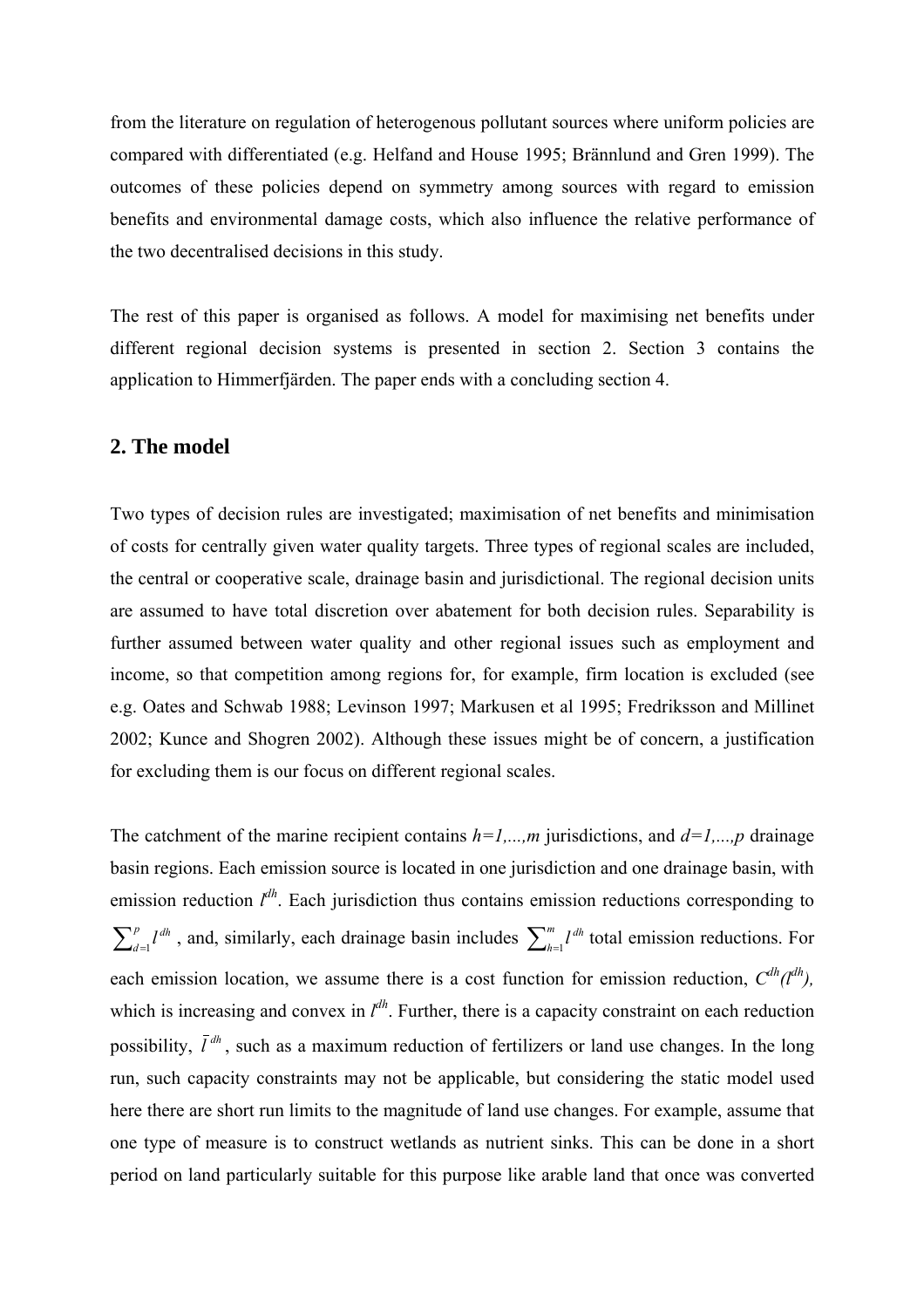from the literature on regulation of heterogenous pollutant sources where uniform policies are compared with differentiated (e.g. Helfand and House 1995; Brännlund and Gren 1999). The outcomes of these policies depend on symmetry among sources with regard to emission benefits and environmental damage costs, which also influence the relative performance of the two decentralised decisions in this study.

The rest of this paper is organised as follows. A model for maximising net benefits under different regional decision systems is presented in section 2. Section 3 contains the application to Himmerfjärden. The paper ends with a concluding section 4.

#### **2. The model**

Two types of decision rules are investigated; maximisation of net benefits and minimisation of costs for centrally given water quality targets. Three types of regional scales are included, the central or cooperative scale, drainage basin and jurisdictional. The regional decision units are assumed to have total discretion over abatement for both decision rules. Separability is further assumed between water quality and other regional issues such as employment and income, so that competition among regions for, for example, firm location is excluded (see e.g. Oates and Schwab 1988; Levinson 1997; Markusen et al 1995; Fredriksson and Millinet 2002; Kunce and Shogren 2002). Although these issues might be of concern, a justification for excluding them is our focus on different regional scales.

The catchment of the marine recipient contains  $h=1,...,m$  jurisdictions, and  $d=1,...,p$  drainage basin regions. Each emission source is located in one jurisdiction and one drainage basin, with emission reduction  $l^{dh}$ . Each jurisdiction thus contains emission reductions corresponding to  $\sum_{d=1}^{p} l^{dh}$ , and, similarly, each drainage basin includes  $\sum_{d=1}^{p} l^{dh}$ , and, similarly, each drainage basin includes  $\sum_{h=1}^{m} l^{dh}$  $\int_{h=1}^{m} l^{dh}$  total emission reductions. For each emission location, we assume there is a cost function for emission reduction,  $C^{dh}(\mathcal{d}^{dh})$ , which is increasing and convex in  $l^{dh}$ . Further, there is a capacity constraint on each reduction possibility,  $\bar{l}^{dh}$ , such as a maximum reduction of fertilizers or land use changes. In the long run, such capacity constraints may not be applicable, but considering the static model used here there are short run limits to the magnitude of land use changes. For example, assume that one type of measure is to construct wetlands as nutrient sinks. This can be done in a short period on land particularly suitable for this purpose like arable land that once was converted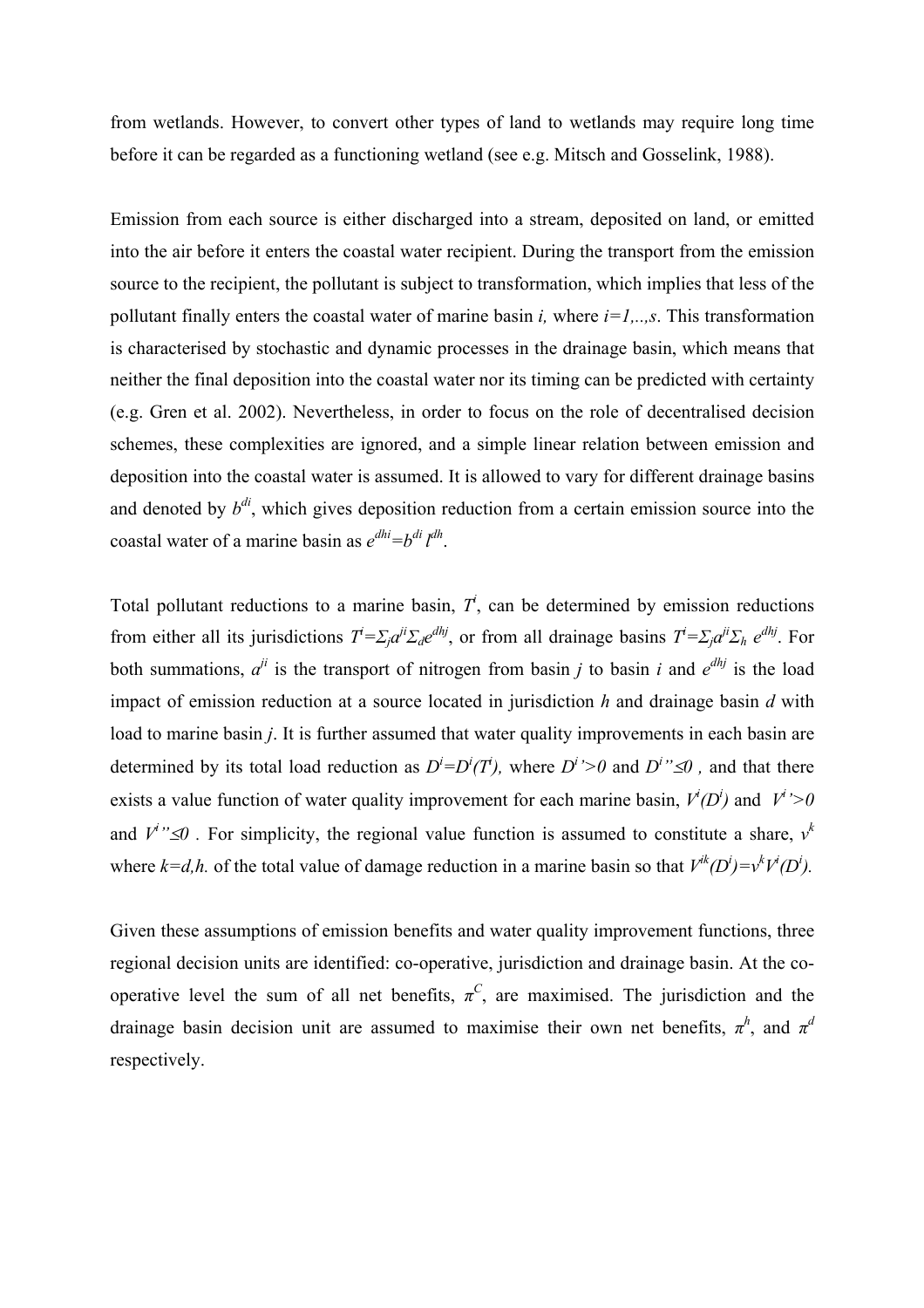from wetlands. However, to convert other types of land to wetlands may require long time before it can be regarded as a functioning wetland (see e.g. Mitsch and Gosselink, 1988).

Emission from each source is either discharged into a stream, deposited on land, or emitted into the air before it enters the coastal water recipient. During the transport from the emission source to the recipient, the pollutant is subject to transformation, which implies that less of the pollutant finally enters the coastal water of marine basin *i*, where  $i=1,...,s$ . This transformation is characterised by stochastic and dynamic processes in the drainage basin, which means that neither the final deposition into the coastal water nor its timing can be predicted with certainty (e.g. Gren et al. 2002). Nevertheless, in order to focus on the role of decentralised decision schemes, these complexities are ignored, and a simple linear relation between emission and deposition into the coastal water is assumed. It is allowed to vary for different drainage basins and denoted by  $b^{di}$ , which gives deposition reduction from a certain emission source into the coastal water of a marine basin as  $e^{dhi} = b^{di} l^{dh}$ .

Total pollutant reductions to a marine basin,  $T<sup>i</sup>$ , can be determined by emission reductions from either all its jurisdictions  $T^i = \sum_j a^{ij} \sum_d e^{dhj}$ , or from all drainage basins  $T^i = \sum_j a^{ij} \sum_h e^{dhj}$ . For both summations,  $a^{ji}$  is the transport of nitrogen from basin *j* to basin *i* and  $e^{d h j}$  is the load impact of emission reduction at a source located in jurisdiction *h* and drainage basin *d* with load to marine basin *j*. It is further assumed that water quality improvements in each basin are determined by its total load reduction as  $D^i = D^i(T^i)$ , where  $D^i > 0$  and  $D^i \simeq 0$ , and that there exists a value function of water quality improvement for each marine basin,  $V^i(D^i)$  and  $V^i > 0$ and  $V^i$ <sup>2</sup>  $\leq$  0. For simplicity, the regional value function is assumed to constitute a share,  $v^k$ where  $k=d,h$ . of the total value of damage reduction in a marine basin so that  $V^{ik}(D^i) = v^k V^i(D^i)$ .

Given these assumptions of emission benefits and water quality improvement functions, three regional decision units are identified: co-operative, jurisdiction and drainage basin. At the cooperative level the sum of all net benefits,  $\pi^C$ , are maximised. The jurisdiction and the drainage basin decision unit are assumed to maximise their own net benefits,  $\pi^h$ , and  $\pi^d$ respectively.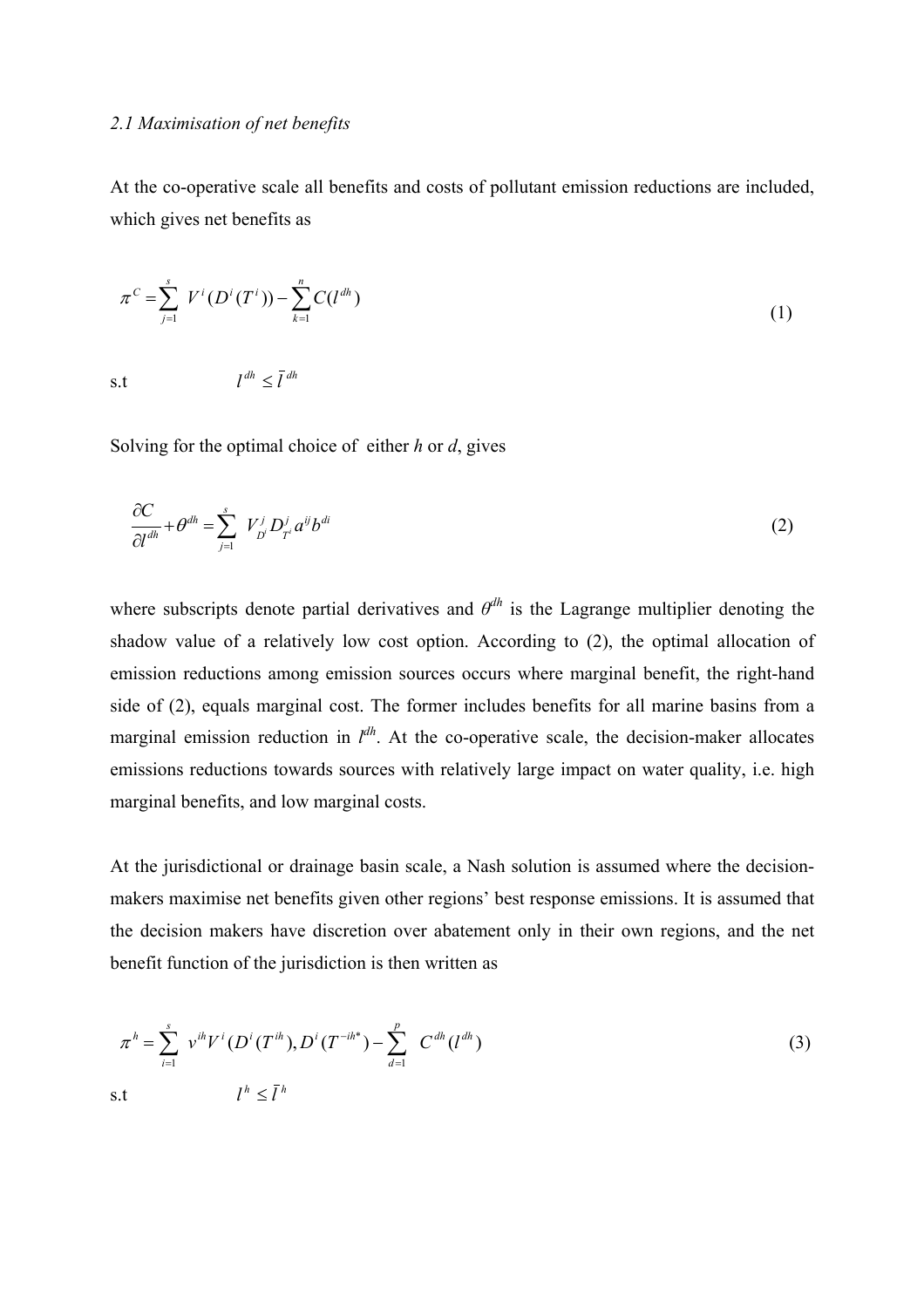#### *2.1 Maximisation of net benefits*

At the co-operative scale all benefits and costs of pollutant emission reductions are included, which gives net benefits as

$$
\pi^{C} = \sum_{j=1}^{s} V^{i}(D^{i}(T^{i})) - \sum_{k=1}^{n} C(l^{dh})
$$
\n
$$
\text{s.t} \qquad l^{dh} \leq \bar{l}^{dh} \tag{1}
$$

Solving for the optimal choice of either *h* or *d*, gives

$$
\frac{\partial C}{\partial l^{dh}} + \theta^{dh} = \sum_{j=1}^{s} V_{D}^{j} D_{T^{i}}^{j} a^{ij} b^{di}
$$
\n(2)

where subscripts denote partial derivatives and  $\theta^{dh}$  is the Lagrange multiplier denoting the shadow value of a relatively low cost option. According to (2), the optimal allocation of emission reductions among emission sources occurs where marginal benefit, the right-hand side of (2), equals marginal cost. The former includes benefits for all marine basins from a marginal emission reduction in  $l^{dh}$ . At the co-operative scale, the decision-maker allocates emissions reductions towards sources with relatively large impact on water quality, i.e. high marginal benefits, and low marginal costs.

At the jurisdictional or drainage basin scale, a Nash solution is assumed where the decisionmakers maximise net benefits given other regions' best response emissions. It is assumed that the decision makers have discretion over abatement only in their own regions, and the net benefit function of the jurisdiction is then written as

$$
\pi^{h} = \sum_{i=1}^{s} v^{ih} V^{i} (D^{i} (T^{ih}), D^{i} (T^{-ih^{*}}) - \sum_{d=1}^{p} C^{dh} (l^{dh})
$$
\n
$$
\text{s.t} \qquad l^{h} \leq \bar{l}^{h} \qquad (3)
$$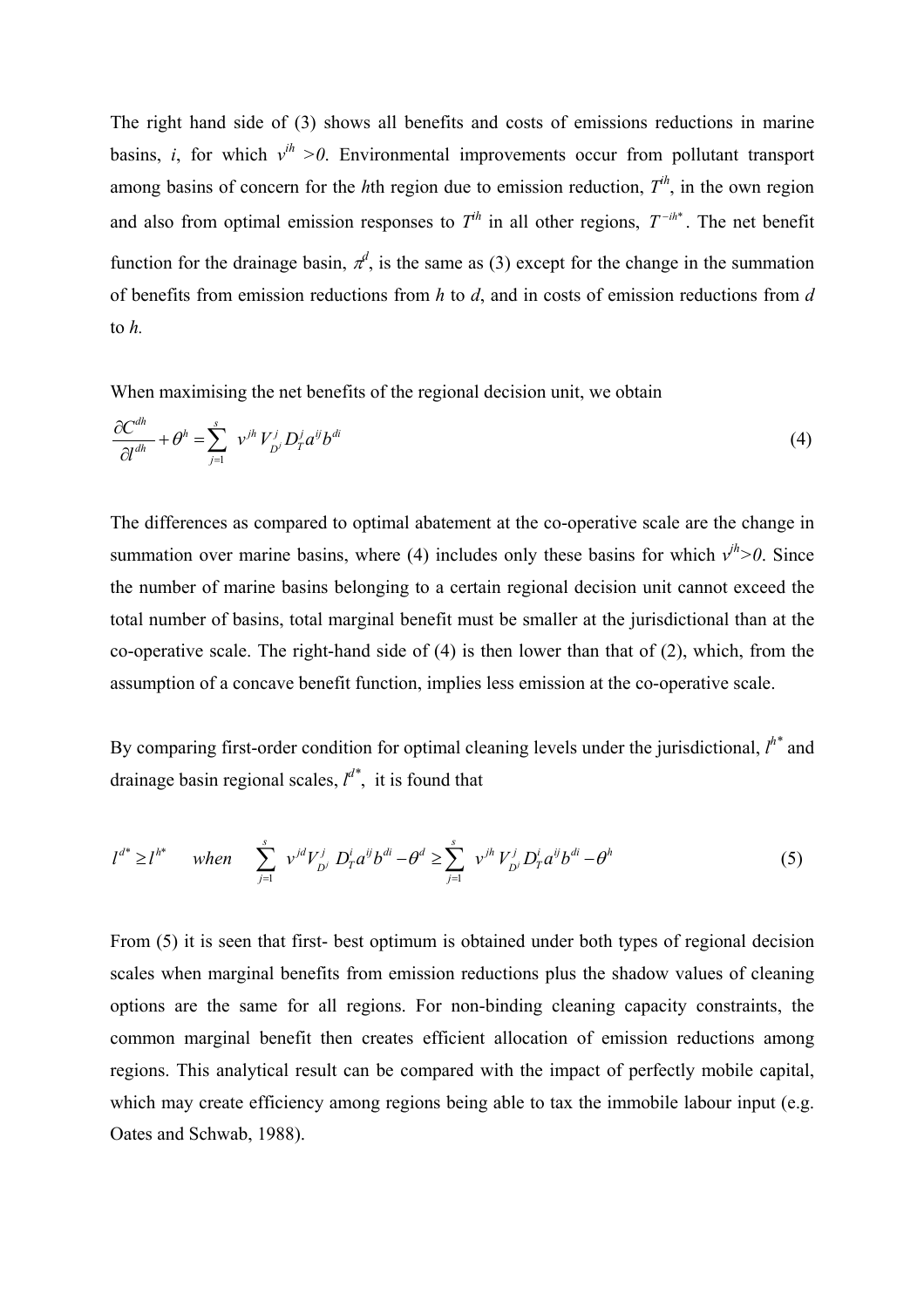The right hand side of (3) shows all benefits and costs of emissions reductions in marine basins, *i*, for which  $v^{ih} > 0$ . Environmental improvements occur from pollutant transport among basins of concern for the *h*th region due to emission reduction, *Tih*, in the own region and also from optimal emission responses to  $T^h$  in all other regions,  $T^{-ih^*}$ . The net benefit function for the drainage basin,  $\pi^d$ , is the same as (3) except for the change in the summation of benefits from emission reductions from *h* to *d*, and in costs of emission reductions from *d* to *h.* 

When maximising the net benefits of the regional decision unit, we obtain

$$
\frac{\partial C^{dh}}{\partial l^{dh}} + \theta^h = \sum_{j=1}^s \ v^{jh} V^j_{D^j} D^j_T a^{ij} b^{di}
$$
\n
$$
\tag{4}
$$

The differences as compared to optimal abatement at the co-operative scale are the change in summation over marine basins, where (4) includes only these basins for which  $v^{h} > 0$ . Since the number of marine basins belonging to a certain regional decision unit cannot exceed the total number of basins, total marginal benefit must be smaller at the jurisdictional than at the co-operative scale. The right-hand side of (4) is then lower than that of (2), which, from the assumption of a concave benefit function, implies less emission at the co-operative scale.

By comparing first-order condition for optimal cleaning levels under the jurisdictional,  $l^{h^*}$  and drainage basin regional scales, *l d\**, it is found that

$$
l^{d^*} \ge l^{h^*} \quad when \quad \sum_{j=1}^s v^{jd} V^j_{D^j} D^i_{T} a^{ij} b^{di} - \theta^d \ge \sum_{j=1}^s v^{jh} V^j_{D^j} D^i_{T} a^{ij} b^{di} - \theta^h \tag{5}
$$

From (5) it is seen that first- best optimum is obtained under both types of regional decision scales when marginal benefits from emission reductions plus the shadow values of cleaning options are the same for all regions. For non-binding cleaning capacity constraints, the common marginal benefit then creates efficient allocation of emission reductions among regions. This analytical result can be compared with the impact of perfectly mobile capital, which may create efficiency among regions being able to tax the immobile labour input (e.g. Oates and Schwab, 1988).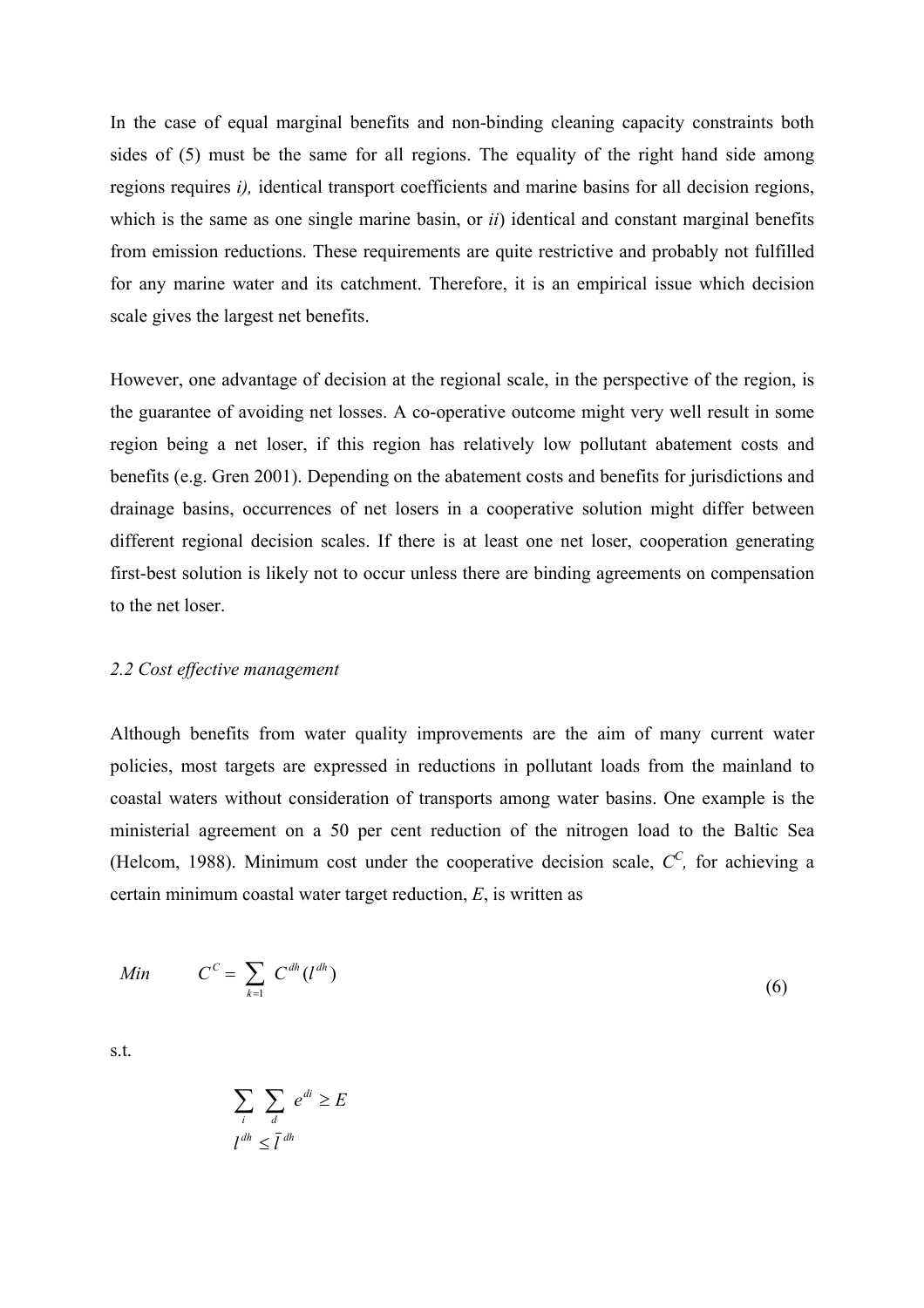In the case of equal marginal benefits and non-binding cleaning capacity constraints both sides of (5) must be the same for all regions. The equality of the right hand side among regions requires *i),* identical transport coefficients and marine basins for all decision regions, which is the same as one single marine basin, or *ii*) identical and constant marginal benefits from emission reductions. These requirements are quite restrictive and probably not fulfilled for any marine water and its catchment. Therefore, it is an empirical issue which decision scale gives the largest net benefits.

However, one advantage of decision at the regional scale, in the perspective of the region, is the guarantee of avoiding net losses. A co-operative outcome might very well result in some region being a net loser, if this region has relatively low pollutant abatement costs and benefits (e.g. Gren 2001). Depending on the abatement costs and benefits for jurisdictions and drainage basins, occurrences of net losers in a cooperative solution might differ between different regional decision scales. If there is at least one net loser, cooperation generating first-best solution is likely not to occur unless there are binding agreements on compensation to the net loser.

#### *2.2 Cost effective management*

Although benefits from water quality improvements are the aim of many current water policies, most targets are expressed in reductions in pollutant loads from the mainland to coastal waters without consideration of transports among water basins. One example is the ministerial agreement on a 50 per cent reduction of the nitrogen load to the Baltic Sea (Helcom, 1988). Minimum cost under the cooperative decision scale,  $C^C$ , for achieving a certain minimum coastal water target reduction, *E*, is written as

$$
Min \qquad C^C = \sum_{k=1}^{\infty} C^{dh} (l^{dh}) \tag{6}
$$

s.t.

$$
\sum_{i} \sum_{d} e^{di} \ge E
$$
  

$$
l^{dh} \le \bar{l}^{dh}
$$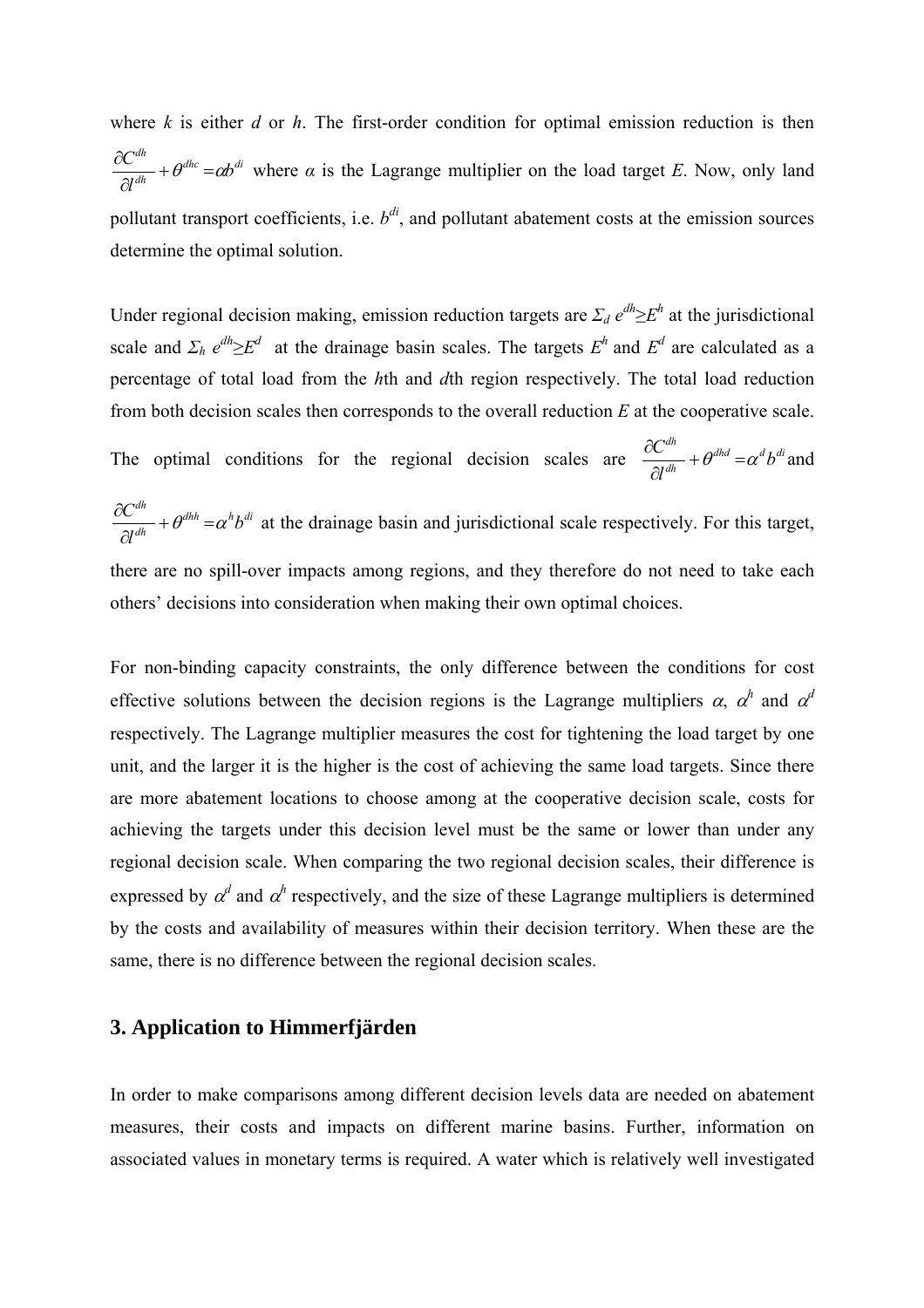where *k* is either *d* or *h*. The first-order condition for optimal emission reduction is then  $dhc = \partial h$ *di dh dh b l*  $\frac{C^{dh}}{C^{dh}} + \theta^{dhc} = \alpha b$ ∂  $\frac{\partial C^{dh}}{\partial \zeta^{dh}} + \theta^{dhc} = \alpha b^{di}$  where  $\alpha$  is the Lagrange multiplier on the load target *E*. Now, only land pollutant transport coefficients, i.e.  $b^{di}$ , and pollutant abatement costs at the emission sources determine the optimal solution.

Under regional decision making, emission reduction targets are  $\Sigma_d e^{dh} \geq E^h$  at the jurisdictional scale and  $\Sigma_h e^{dh} \geq E^d$  at the drainage basin scales. The targets  $E^h$  and  $E^d$  are calculated as a percentage of total load from the *h*th and *d*th region respectively. The total load reduction from both decision scales then corresponds to the overall reduction *E* at the cooperative scale. The optimal conditions for the regional decision scales are  $\frac{\partial C}{\partial d} + \theta^{dhd} = \alpha^d b^{di}$ *dh b l*  $\frac{C^{dh}}{C^{d h}} + \theta^{d h d} = \alpha$ ∂  $\frac{\partial C^{dh}}{\partial A^{dh}} + \theta^{dhd} = \alpha^d b^{di}$  and  $dhh = \alpha^h h$  *di dh dh b l*  $\frac{C^{dh}}{C^{dh}} + \theta^{dhh} = \alpha$ ∂  $\frac{\partial C^{dh}}{\partial \zeta^{dh}} + \theta^{dhh} = \alpha^h b^{di}$  at the drainage basin and jurisdictional scale respectively. For this target, there are no spill-over impacts among regions, and they therefore do not need to take each

others' decisions into consideration when making their own optimal choices.

For non-binding capacity constraints, the only difference between the conditions for cost effective solutions between the decision regions is the Lagrange multipliers  $\alpha$ ,  $\alpha^h$  and  $\alpha^d$ respectively. The Lagrange multiplier measures the cost for tightening the load target by one unit, and the larger it is the higher is the cost of achieving the same load targets. Since there are more abatement locations to choose among at the cooperative decision scale, costs for achieving the targets under this decision level must be the same or lower than under any regional decision scale. When comparing the two regional decision scales, their difference is expressed by  $\alpha^d$  and  $\alpha^h$  respectively, and the size of these Lagrange multipliers is determined by the costs and availability of measures within their decision territory. When these are the same, there is no difference between the regional decision scales.

#### **3. Application to Himmerfjärden**

In order to make comparisons among different decision levels data are needed on abatement measures, their costs and impacts on different marine basins. Further, information on associated values in monetary terms is required. A water which is relatively well investigated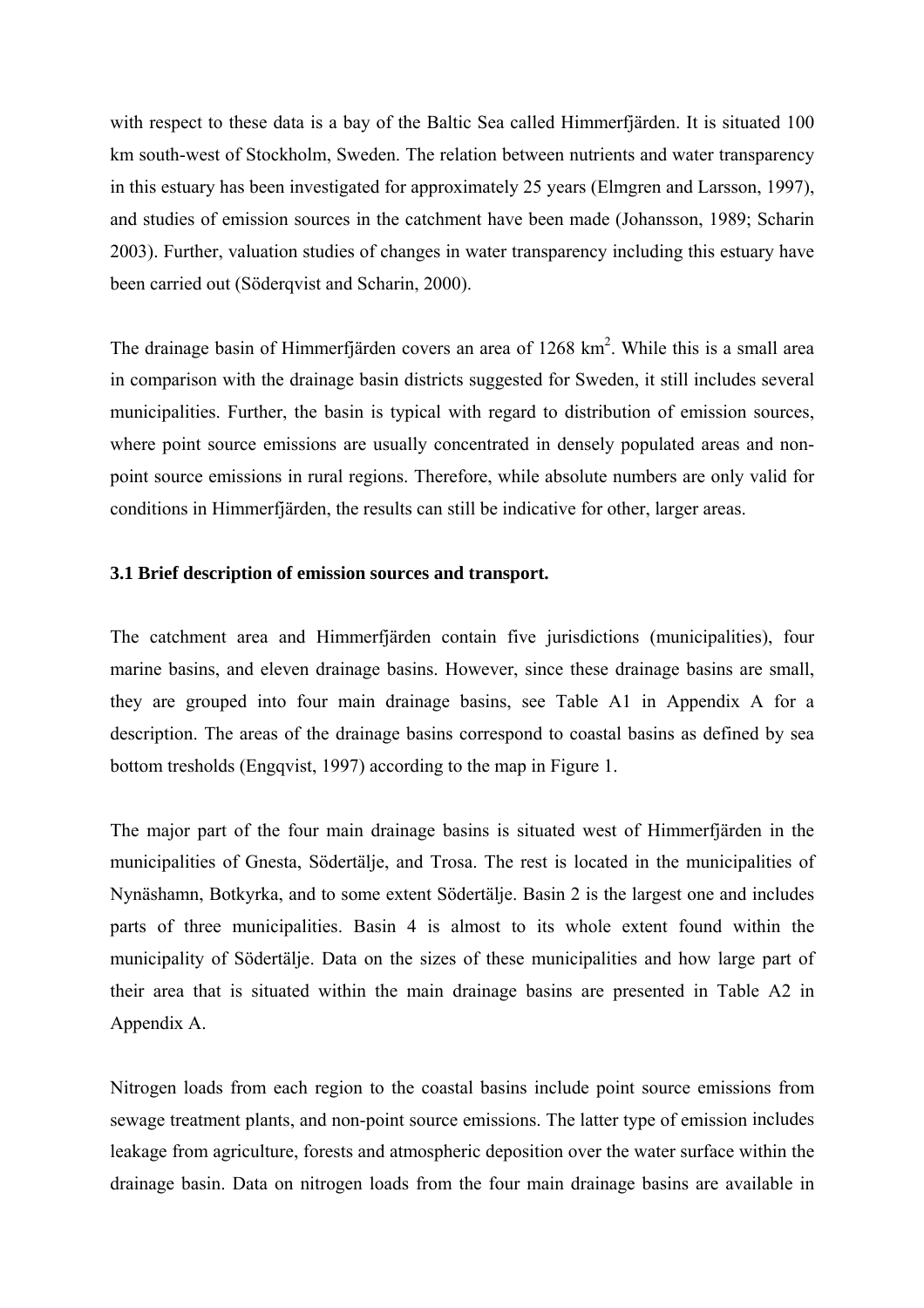with respect to these data is a bay of the Baltic Sea called Himmerfjärden. It is situated 100 km south-west of Stockholm, Sweden. The relation between nutrients and water transparency in this estuary has been investigated for approximately 25 years (Elmgren and Larsson, 1997), and studies of emission sources in the catchment have been made (Johansson, 1989; Scharin 2003). Further, valuation studies of changes in water transparency including this estuary have been carried out (Söderqvist and Scharin, 2000).

The drainage basin of Himmerfjärden covers an area of  $1268 \text{ km}^2$ . While this is a small area in comparison with the drainage basin districts suggested for Sweden, it still includes several municipalities. Further, the basin is typical with regard to distribution of emission sources, where point source emissions are usually concentrated in densely populated areas and nonpoint source emissions in rural regions. Therefore, while absolute numbers are only valid for conditions in Himmerfjärden, the results can still be indicative for other, larger areas.

#### **3.1 Brief description of emission sources and transport.**

The catchment area and Himmerfjärden contain five jurisdictions (municipalities), four marine basins, and eleven drainage basins. However, since these drainage basins are small, they are grouped into four main drainage basins, see Table A1 in Appendix A for a description. The areas of the drainage basins correspond to coastal basins as defined by sea bottom tresholds (Engqvist, 1997) according to the map in Figure 1.

The major part of the four main drainage basins is situated west of Himmerfjärden in the municipalities of Gnesta, Södertälje, and Trosa. The rest is located in the municipalities of Nynäshamn, Botkyrka, and to some extent Södertälje. Basin 2 is the largest one and includes parts of three municipalities. Basin 4 is almost to its whole extent found within the municipality of Södertälje. Data on the sizes of these municipalities and how large part of their area that is situated within the main drainage basins are presented in Table A2 in Appendix A.

Nitrogen loads from each region to the coastal basins include point source emissions from sewage treatment plants, and non-point source emissions. The latter type of emission includes leakage from agriculture, forests and atmospheric deposition over the water surface within the drainage basin. Data on nitrogen loads from the four main drainage basins are available in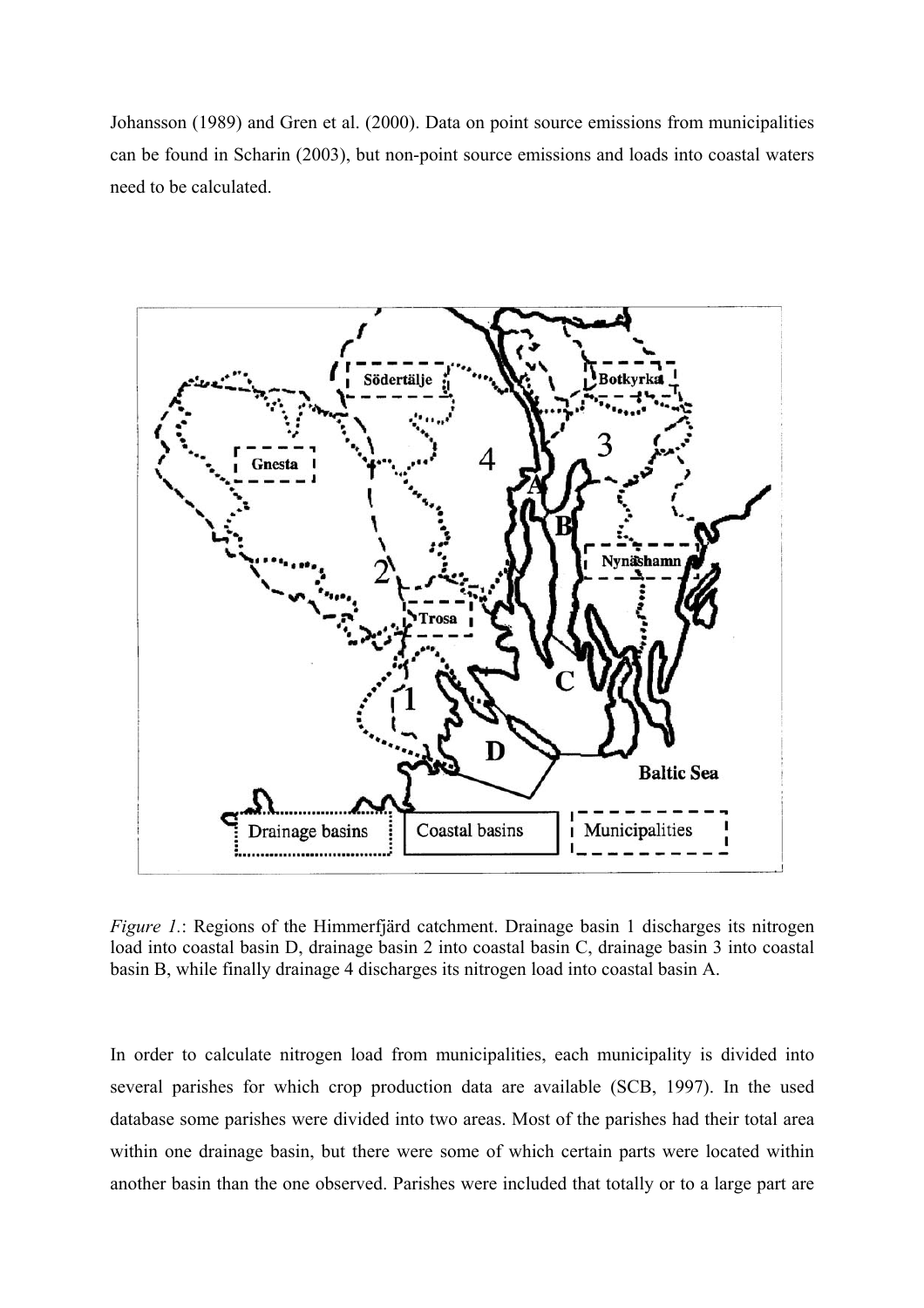Johansson (1989) and Gren et al. (2000). Data on point source emissions from municipalities can be found in Scharin (2003), but non-point source emissions and loads into coastal waters need to be calculated.



*Figure 1.*: Regions of the Himmerfjärd catchment. Drainage basin 1 discharges its nitrogen load into coastal basin D, drainage basin 2 into coastal basin C, drainage basin 3 into coastal basin B, while finally drainage 4 discharges its nitrogen load into coastal basin A.

In order to calculate nitrogen load from municipalities, each municipality is divided into several parishes for which crop production data are available (SCB, 1997). In the used database some parishes were divided into two areas. Most of the parishes had their total area within one drainage basin, but there were some of which certain parts were located within another basin than the one observed. Parishes were included that totally or to a large part are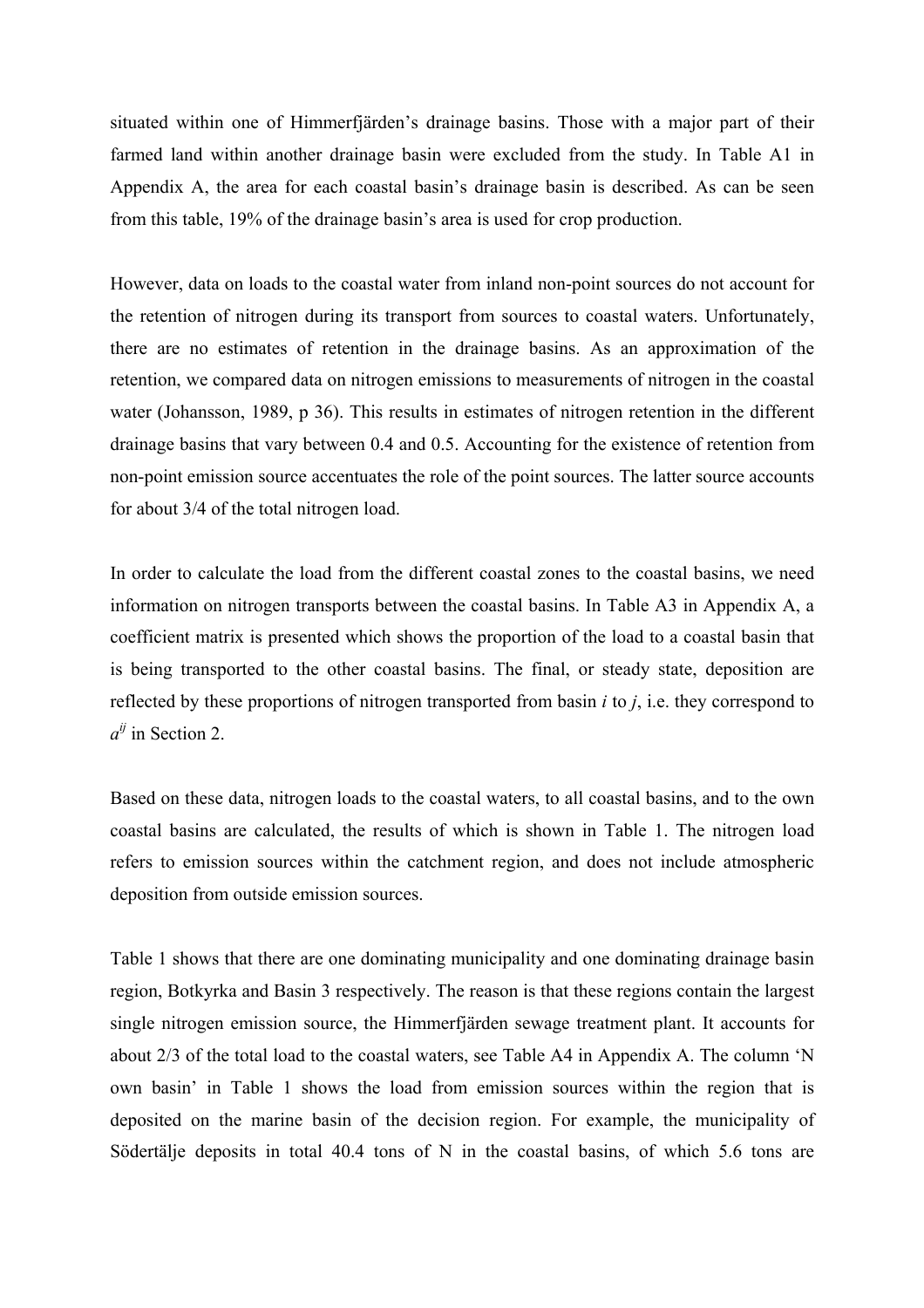situated within one of Himmerfjärden's drainage basins. Those with a major part of their farmed land within another drainage basin were excluded from the study. In Table A1 in Appendix A, the area for each coastal basin's drainage basin is described. As can be seen from this table, 19% of the drainage basin's area is used for crop production.

However, data on loads to the coastal water from inland non-point sources do not account for the retention of nitrogen during its transport from sources to coastal waters. Unfortunately, there are no estimates of retention in the drainage basins. As an approximation of the retention, we compared data on nitrogen emissions to measurements of nitrogen in the coastal water (Johansson, 1989, p 36). This results in estimates of nitrogen retention in the different drainage basins that vary between 0.4 and 0.5. Accounting for the existence of retention from non-point emission source accentuates the role of the point sources. The latter source accounts for about 3/4 of the total nitrogen load.

In order to calculate the load from the different coastal zones to the coastal basins, we need information on nitrogen transports between the coastal basins. In Table A3 in Appendix A, a coefficient matrix is presented which shows the proportion of the load to a coastal basin that is being transported to the other coastal basins. The final, or steady state, deposition are reflected by these proportions of nitrogen transported from basin *i* to *j*, i.e. they correspond to  $a^{ij}$  in Section 2.

Based on these data, nitrogen loads to the coastal waters, to all coastal basins, and to the own coastal basins are calculated, the results of which is shown in Table 1. The nitrogen load refers to emission sources within the catchment region, and does not include atmospheric deposition from outside emission sources.

Table 1 shows that there are one dominating municipality and one dominating drainage basin region, Botkyrka and Basin 3 respectively. The reason is that these regions contain the largest single nitrogen emission source, the Himmerfjärden sewage treatment plant. It accounts for about 2/3 of the total load to the coastal waters, see Table A4 in Appendix A. The column 'N own basin' in Table 1 shows the load from emission sources within the region that is deposited on the marine basin of the decision region. For example, the municipality of Södertälje deposits in total 40.4 tons of N in the coastal basins, of which 5.6 tons are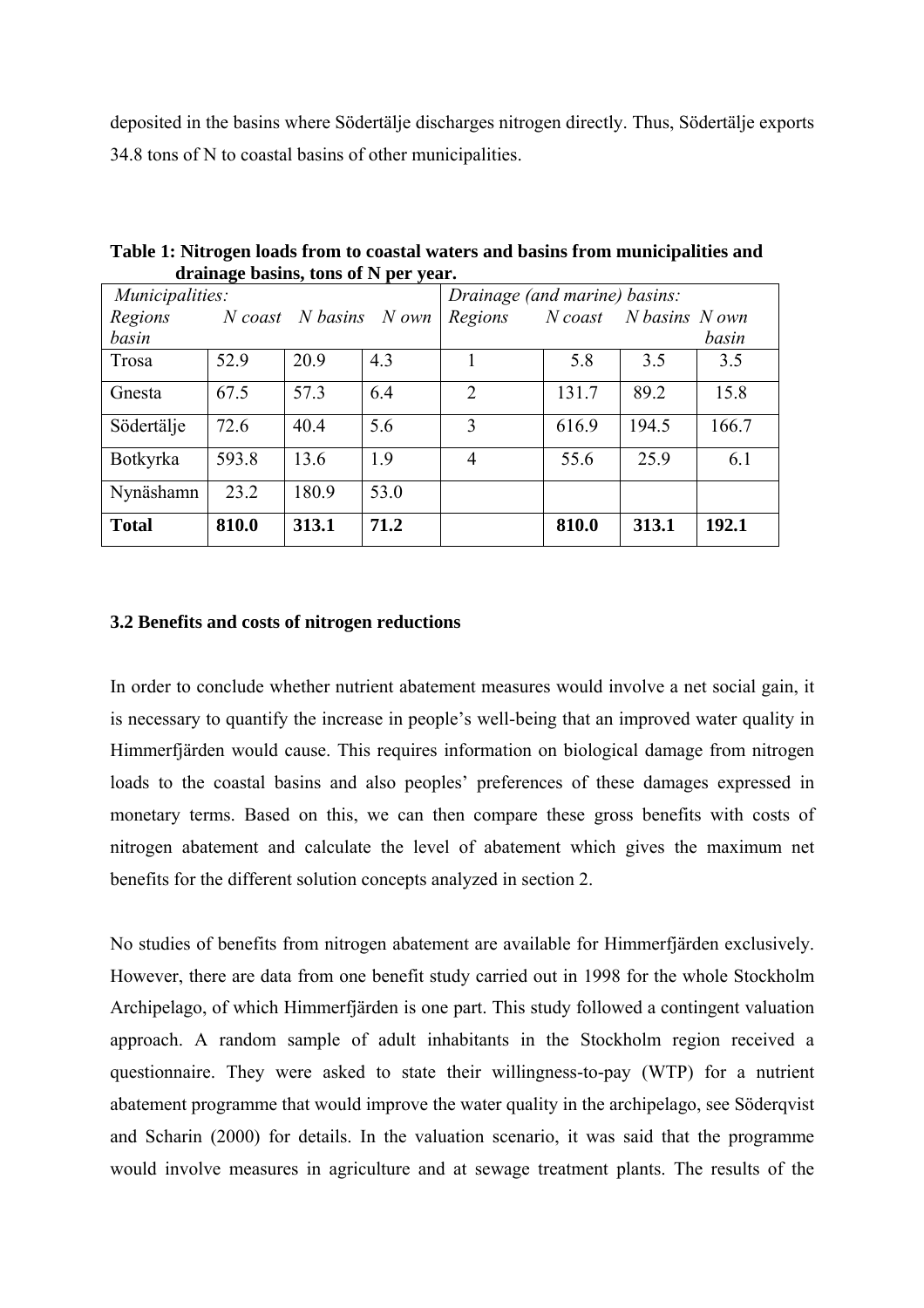deposited in the basins where Södertälje discharges nitrogen directly. Thus, Södertälje exports 34.8 tons of N to coastal basins of other municipalities.

| Municipalities: |       |                        |      | Drainage (and marine) basins: |           |                |       |
|-----------------|-------|------------------------|------|-------------------------------|-----------|----------------|-------|
| Regions         |       | N coast N basins N own |      | Regions                       | $N$ coast | N basins N own |       |
| basin           |       |                        |      |                               |           |                | basin |
| Trosa           | 52.9  | 20.9                   | 4.3  |                               | 5.8       | 3.5            | 3.5   |
| Gnesta          | 67.5  | 57.3                   | 6.4  | 2                             | 131.7     | 89.2           | 15.8  |
| Södertälje      | 72.6  | 40.4                   | 5.6  | 3                             | 616.9     | 194.5          | 166.7 |
| <b>Botkyrka</b> | 593.8 | 13.6                   | 1.9  | 4                             | 55.6      | 25.9           | 6.1   |
| Nynäshamn       | 23.2  | 180.9                  | 53.0 |                               |           |                |       |
| <b>Total</b>    | 810.0 | 313.1                  | 71.2 |                               | 810.0     | 313.1          | 192.1 |

**Table 1: Nitrogen loads from to coastal waters and basins from municipalities and drainage basins, tons of N per year.** 

#### **3.2 Benefits and costs of nitrogen reductions**

In order to conclude whether nutrient abatement measures would involve a net social gain, it is necessary to quantify the increase in people's well-being that an improved water quality in Himmerfjärden would cause. This requires information on biological damage from nitrogen loads to the coastal basins and also peoples' preferences of these damages expressed in monetary terms. Based on this, we can then compare these gross benefits with costs of nitrogen abatement and calculate the level of abatement which gives the maximum net benefits for the different solution concepts analyzed in section 2.

No studies of benefits from nitrogen abatement are available for Himmerfjärden exclusively. However, there are data from one benefit study carried out in 1998 for the whole Stockholm Archipelago, of which Himmerfjärden is one part. This study followed a contingent valuation approach. A random sample of adult inhabitants in the Stockholm region received a questionnaire. They were asked to state their willingness-to-pay (WTP) for a nutrient abatement programme that would improve the water quality in the archipelago, see Söderqvist and Scharin (2000) for details. In the valuation scenario, it was said that the programme would involve measures in agriculture and at sewage treatment plants. The results of the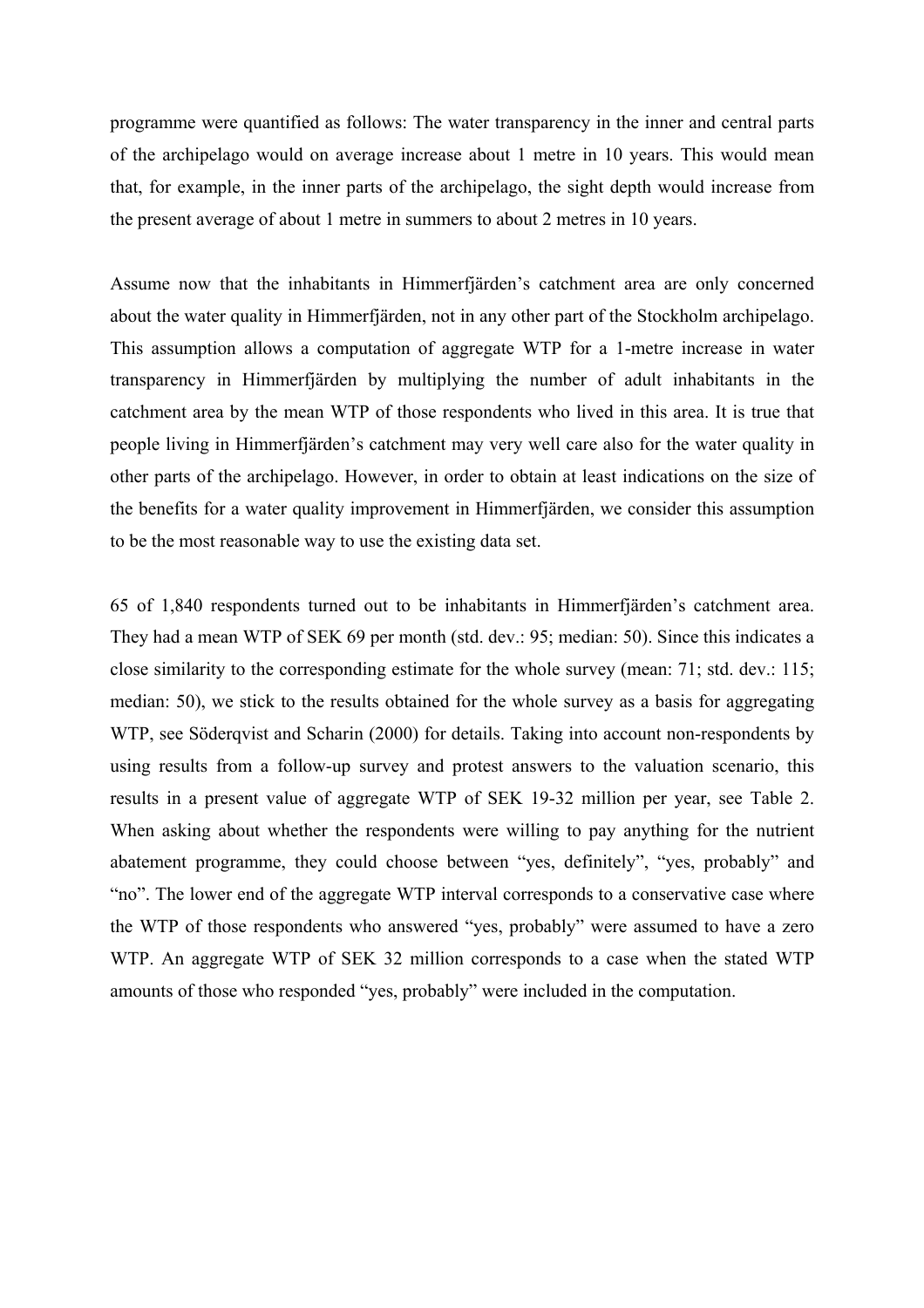programme were quantified as follows: The water transparency in the inner and central parts of the archipelago would on average increase about 1 metre in 10 years. This would mean that, for example, in the inner parts of the archipelago, the sight depth would increase from the present average of about 1 metre in summers to about 2 metres in 10 years.

Assume now that the inhabitants in Himmerfjärden's catchment area are only concerned about the water quality in Himmerfjärden, not in any other part of the Stockholm archipelago. This assumption allows a computation of aggregate WTP for a 1-metre increase in water transparency in Himmerfjärden by multiplying the number of adult inhabitants in the catchment area by the mean WTP of those respondents who lived in this area. It is true that people living in Himmerfjärden's catchment may very well care also for the water quality in other parts of the archipelago. However, in order to obtain at least indications on the size of the benefits for a water quality improvement in Himmerfjärden, we consider this assumption to be the most reasonable way to use the existing data set.

65 of 1,840 respondents turned out to be inhabitants in Himmerfjärden's catchment area. They had a mean WTP of SEK 69 per month (std. dev.: 95; median: 50). Since this indicates a close similarity to the corresponding estimate for the whole survey (mean: 71; std. dev.: 115; median: 50), we stick to the results obtained for the whole survey as a basis for aggregating WTP, see Söderqvist and Scharin (2000) for details. Taking into account non-respondents by using results from a follow-up survey and protest answers to the valuation scenario, this results in a present value of aggregate WTP of SEK 19-32 million per year, see Table 2. When asking about whether the respondents were willing to pay anything for the nutrient abatement programme, they could choose between "yes, definitely", "yes, probably" and "no". The lower end of the aggregate WTP interval corresponds to a conservative case where the WTP of those respondents who answered "yes, probably" were assumed to have a zero WTP. An aggregate WTP of SEK 32 million corresponds to a case when the stated WTP amounts of those who responded "yes, probably" were included in the computation.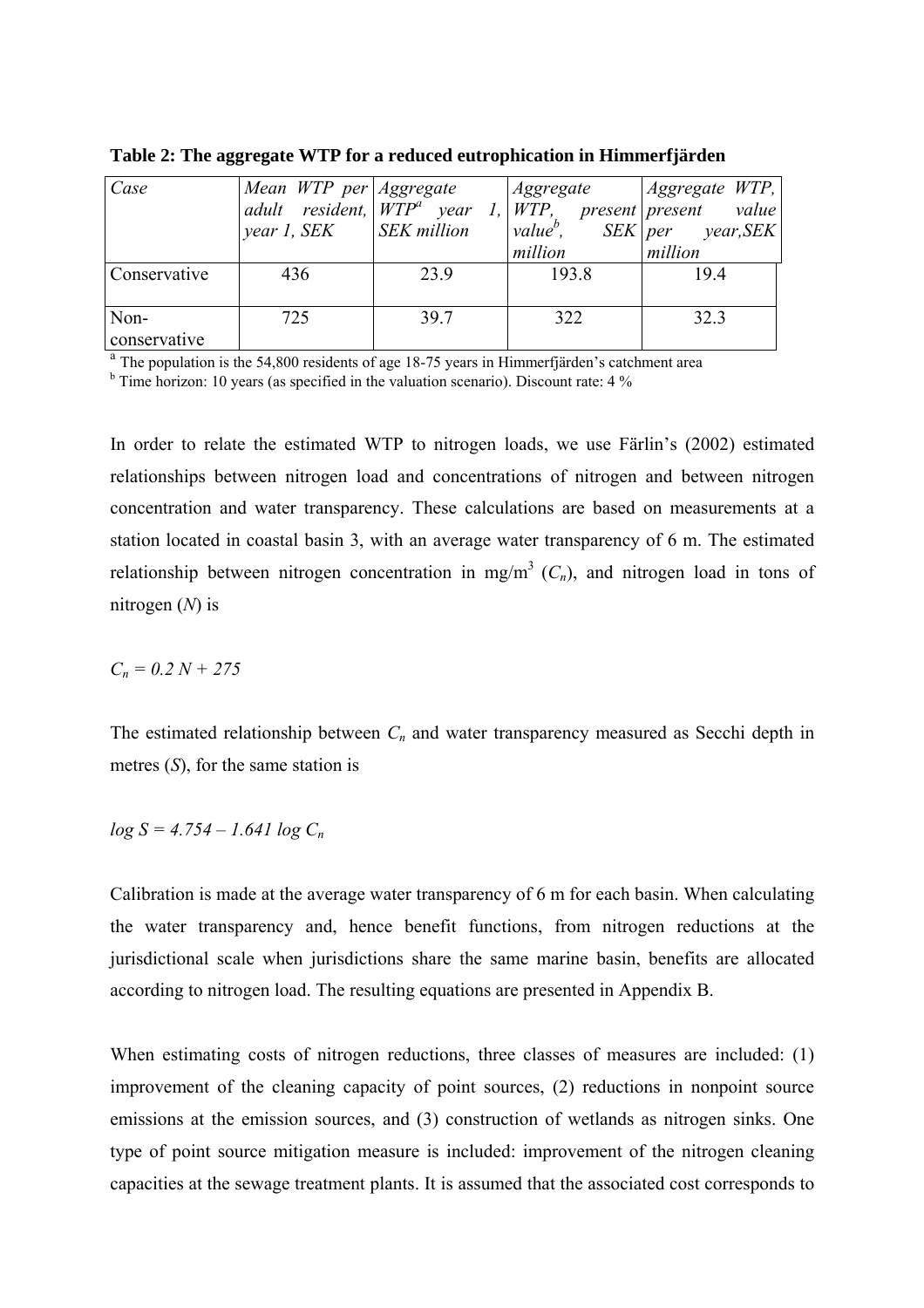| Case<br>Conservative | Mean WTP per Aggregate<br><i>year 1, SEK</i>   <i>SEK million</i><br>436 | 23.9 | Aggregate<br>million<br>193.8 | Aggregate WTP,  <br>adult resident, $WTP^a$ year 1, WTP, present present value<br>$\vert$ value <sup>b</sup> , SEK   per year, SEK  <br>million<br>19.4 |
|----------------------|--------------------------------------------------------------------------|------|-------------------------------|---------------------------------------------------------------------------------------------------------------------------------------------------------|
| Non-<br>conservative | 725                                                                      | 39.7 | 322                           | 32.3                                                                                                                                                    |

**Table 2: The aggregate WTP for a reduced eutrophication in Himmerfjärden** 

<sup>a</sup> The population is the 54,800 residents of age 18-75 years in Himmerfjärden's catchment area

 $b$  Time horizon: 10 years (as specified in the valuation scenario). Discount rate: 4 %

In order to relate the estimated WTP to nitrogen loads, we use Färlin's (2002) estimated relationships between nitrogen load and concentrations of nitrogen and between nitrogen concentration and water transparency. These calculations are based on measurements at a station located in coastal basin 3, with an average water transparency of 6 m. The estimated relationship between nitrogen concentration in mg/m<sup>3</sup>  $(C_n)$ , and nitrogen load in tons of nitrogen (*N*) is

*Cn = 0.2 N + 275*

The estimated relationship between  $C_n$  and water transparency measured as Secchi depth in metres (*S*), for the same station is

$$
log S = 4.754 - 1.641 log C_n
$$

Calibration is made at the average water transparency of 6 m for each basin. When calculating the water transparency and, hence benefit functions, from nitrogen reductions at the jurisdictional scale when jurisdictions share the same marine basin, benefits are allocated according to nitrogen load. The resulting equations are presented in Appendix B.

When estimating costs of nitrogen reductions, three classes of measures are included: (1) improvement of the cleaning capacity of point sources, (2) reductions in nonpoint source emissions at the emission sources, and (3) construction of wetlands as nitrogen sinks. One type of point source mitigation measure is included: improvement of the nitrogen cleaning capacities at the sewage treatment plants. It is assumed that the associated cost corresponds to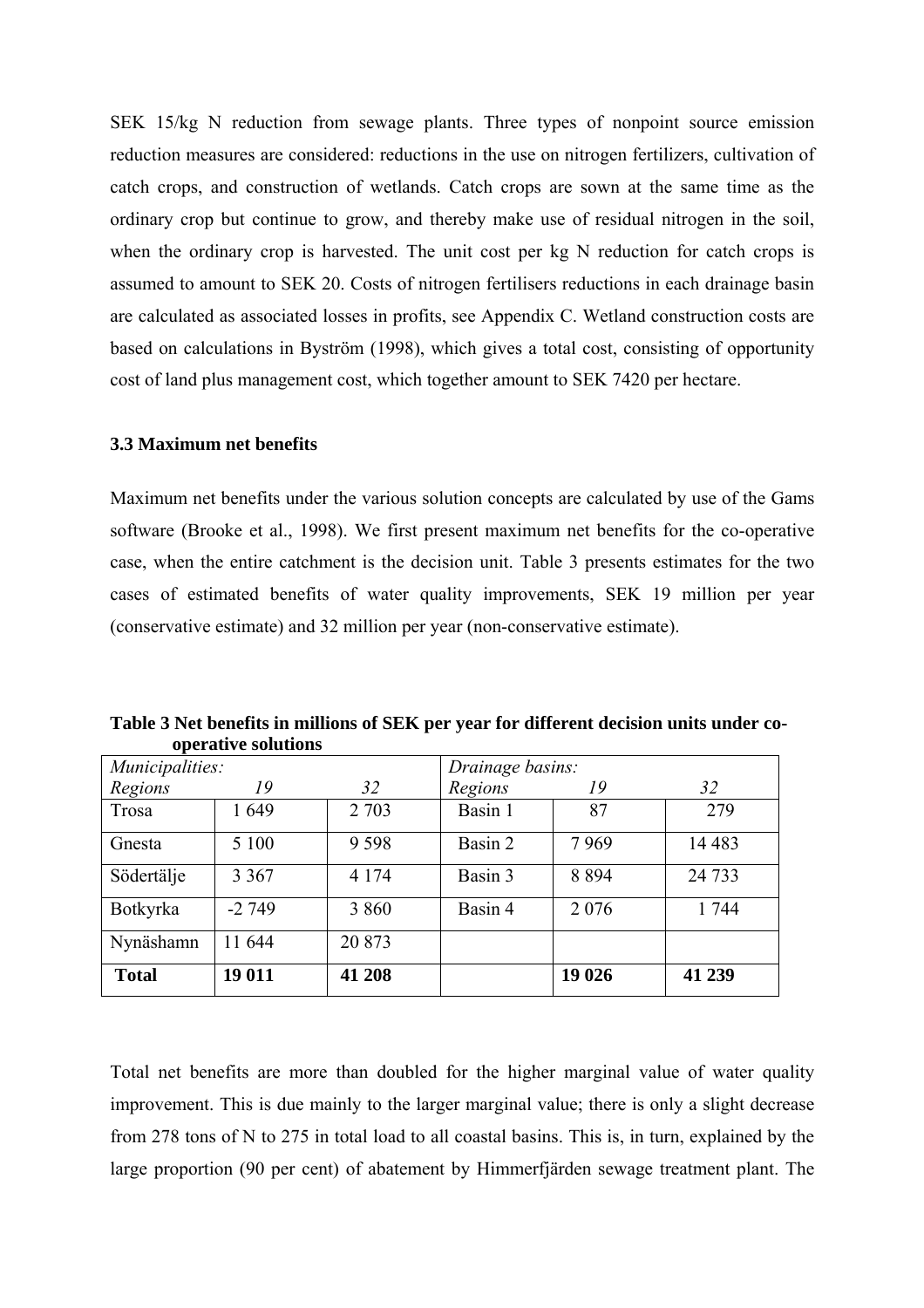SEK 15/kg N reduction from sewage plants. Three types of nonpoint source emission reduction measures are considered: reductions in the use on nitrogen fertilizers, cultivation of catch crops, and construction of wetlands. Catch crops are sown at the same time as the ordinary crop but continue to grow, and thereby make use of residual nitrogen in the soil, when the ordinary crop is harvested. The unit cost per kg N reduction for catch crops is assumed to amount to SEK 20. Costs of nitrogen fertilisers reductions in each drainage basin are calculated as associated losses in profits, see Appendix C. Wetland construction costs are based on calculations in Byström (1998), which gives a total cost, consisting of opportunity cost of land plus management cost, which together amount to SEK 7420 per hectare.

#### **3.3 Maximum net benefits**

Maximum net benefits under the various solution concepts are calculated by use of the Gams software (Brooke et al., 1998). We first present maximum net benefits for the co-operative case, when the entire catchment is the decision unit. Table 3 presents estimates for the two cases of estimated benefits of water quality improvements, SEK 19 million per year (conservative estimate) and 32 million per year (non-conservative estimate).

| Municipalities: |         |         | Drainage basins: |         |         |
|-----------------|---------|---------|------------------|---------|---------|
| Regions         | 19      | 32      | Regions          | 19      | 32      |
| Trosa           | 1649    | 2 7 0 3 | Basin 1          | 87      | 279     |
| Gnesta          | 5 100   | 9598    | Basin 2          | 7969    | 14 4 83 |
| Södertälje      | 3 3 6 7 | 4 1 7 4 | Basin 3          | 8 8 9 4 | 24 7 33 |
| Botkyrka        | $-2749$ | 3 8 6 0 | Basin 4          | 2 0 7 6 | 1 744   |
| Nynäshamn       | 11 644  | 20 873  |                  |         |         |
| <b>Total</b>    | 19 011  | 41 208  |                  | 19 026  | 41 239  |

**Table 3 Net benefits in millions of SEK per year for different decision units under co operative solutions**

Total net benefits are more than doubled for the higher marginal value of water quality improvement. This is due mainly to the larger marginal value; there is only a slight decrease from 278 tons of N to 275 in total load to all coastal basins. This is, in turn, explained by the large proportion (90 per cent) of abatement by Himmerfjärden sewage treatment plant. The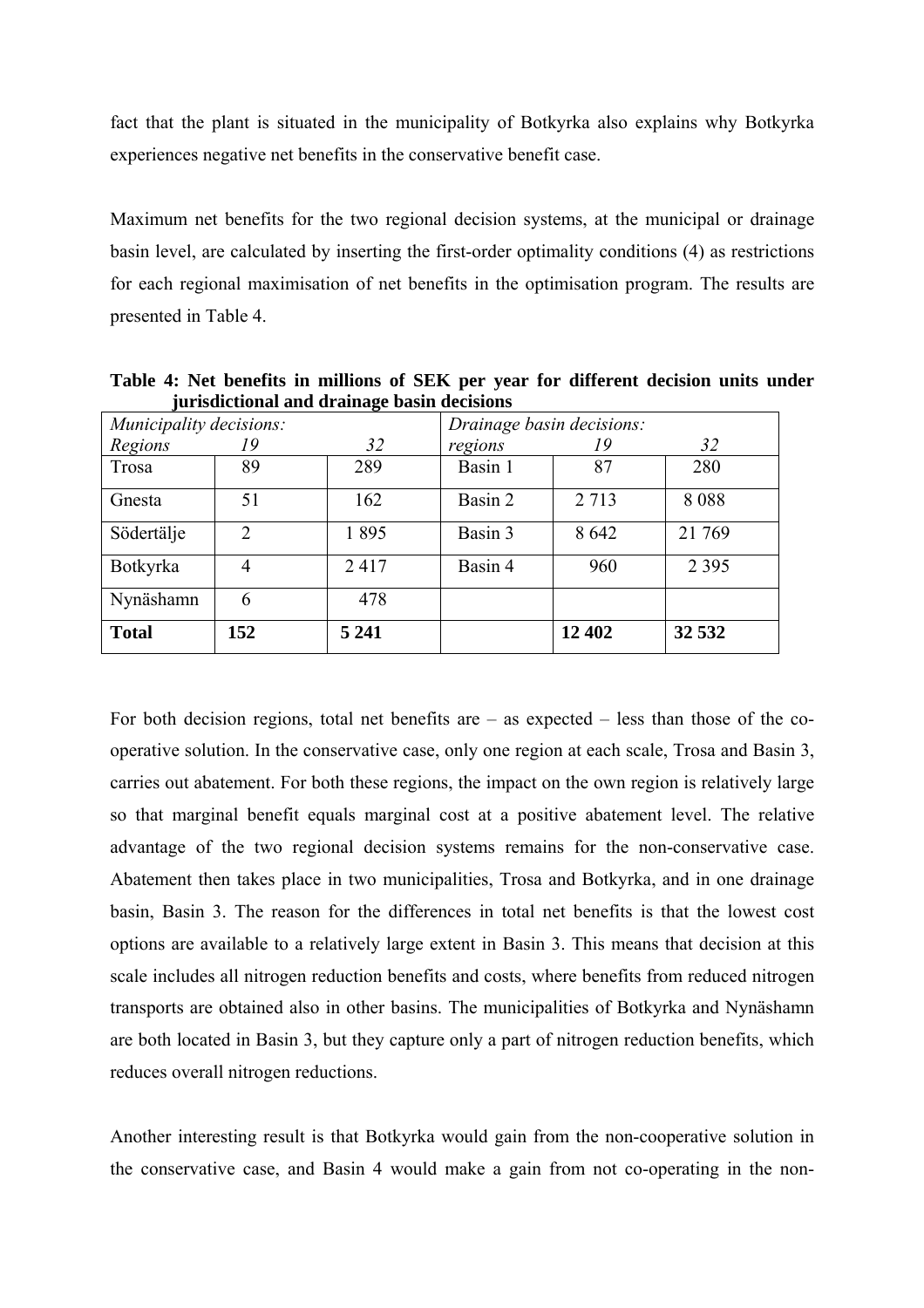fact that the plant is situated in the municipality of Botkyrka also explains why Botkyrka experiences negative net benefits in the conservative benefit case.

Maximum net benefits for the two regional decision systems, at the municipal or drainage basin level, are calculated by inserting the first-order optimality conditions (4) as restrictions for each regional maximisation of net benefits in the optimisation program. The results are presented in Table 4.

| Municipality decisions: |                       | ັ       |         | Drainage basin decisions: |         |
|-------------------------|-----------------------|---------|---------|---------------------------|---------|
| Regions                 | 19                    | 32      | regions | 19                        | 32      |
| Trosa                   | 89                    | 289     | Basin 1 | 87                        | 280     |
| Gnesta                  | 51                    | 162     | Basin 2 | 2 7 1 3                   | 8088    |
| Södertälje              | $\mathcal{D}_{\cdot}$ | 1895    | Basin 3 | 8 6 4 2                   | 21 769  |
| Botkyrka                | 4                     | 2417    | Basin 4 | 960                       | 2 3 9 5 |
| Nynäshamn               | 6                     | 478     |         |                           |         |
| <b>Total</b>            | 152                   | 5 2 4 1 |         | 12 402                    | 32 532  |

**Table 4: Net benefits in millions of SEK per year for different decision units under jurisdictional and drainage basin decisions**

For both decision regions, total net benefits are  $-$  as expected  $-$  less than those of the cooperative solution. In the conservative case, only one region at each scale, Trosa and Basin 3, carries out abatement. For both these regions, the impact on the own region is relatively large so that marginal benefit equals marginal cost at a positive abatement level. The relative advantage of the two regional decision systems remains for the non-conservative case. Abatement then takes place in two municipalities, Trosa and Botkyrka, and in one drainage basin, Basin 3. The reason for the differences in total net benefits is that the lowest cost options are available to a relatively large extent in Basin 3. This means that decision at this scale includes all nitrogen reduction benefits and costs, where benefits from reduced nitrogen transports are obtained also in other basins. The municipalities of Botkyrka and Nynäshamn are both located in Basin 3, but they capture only a part of nitrogen reduction benefits, which reduces overall nitrogen reductions.

Another interesting result is that Botkyrka would gain from the non-cooperative solution in the conservative case, and Basin 4 would make a gain from not co-operating in the non-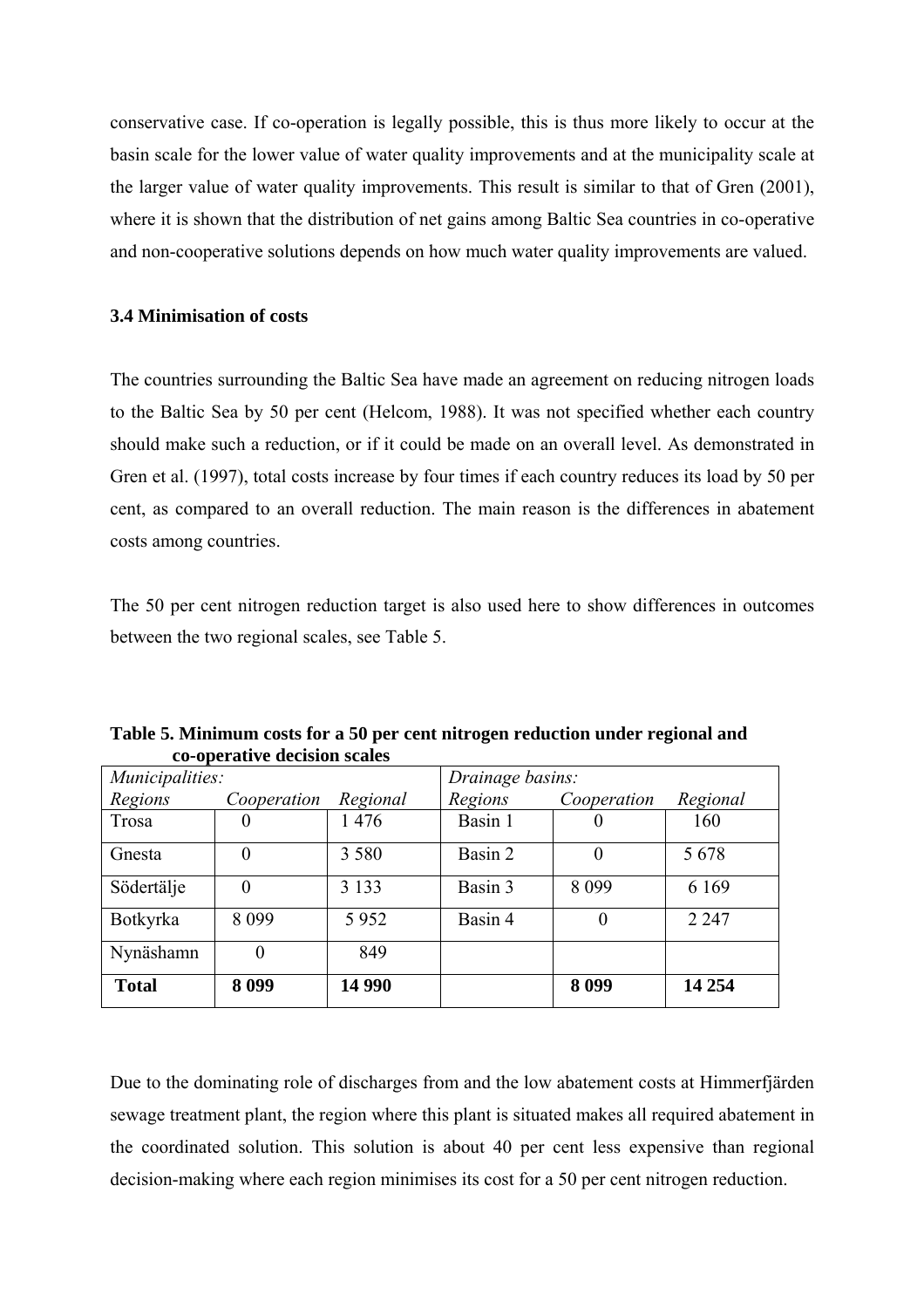conservative case. If co-operation is legally possible, this is thus more likely to occur at the basin scale for the lower value of water quality improvements and at the municipality scale at the larger value of water quality improvements. This result is similar to that of Gren (2001), where it is shown that the distribution of net gains among Baltic Sea countries in co-operative and non-cooperative solutions depends on how much water quality improvements are valued.

#### **3.4 Minimisation of costs**

The countries surrounding the Baltic Sea have made an agreement on reducing nitrogen loads to the Baltic Sea by 50 per cent (Helcom, 1988). It was not specified whether each country should make such a reduction, or if it could be made on an overall level. As demonstrated in Gren et al. (1997), total costs increase by four times if each country reduces its load by 50 per cent, as compared to an overall reduction. The main reason is the differences in abatement costs among countries.

The 50 per cent nitrogen reduction target is also used here to show differences in outcomes between the two regional scales, see Table 5.

|                 | co operatric accidion beared |          |                  |             |          |
|-----------------|------------------------------|----------|------------------|-------------|----------|
| Municipalities: |                              |          | Drainage basins: |             |          |
| Regions         | Cooperation                  | Regional | Regions          | Cooperation | Regional |
| Trosa           |                              | 1476     | Basin 1          |             | 160      |
| Gnesta          | $\theta$                     | 3 5 8 0  | Basin 2          | $\theta$    | 5678     |
| Södertälje      | $\theta$                     | 3 1 3 3  | Basin 3          | 8 0 9 9     | 6 1 6 9  |
| Botkyrka        | 8 0 9 9                      | 5952     | Basin 4          |             | 2 2 4 7  |
| Nynäshamn       |                              | 849      |                  |             |          |
| <b>Total</b>    | 8 0 9 9                      | 14 990   |                  | 8 0 9 9     | 14 254   |

**Table 5. Minimum costs for a 50 per cent nitrogen reduction under regional and co-operative decision scales**

Due to the dominating role of discharges from and the low abatement costs at Himmerfjärden sewage treatment plant, the region where this plant is situated makes all required abatement in the coordinated solution. This solution is about 40 per cent less expensive than regional decision-making where each region minimises its cost for a 50 per cent nitrogen reduction.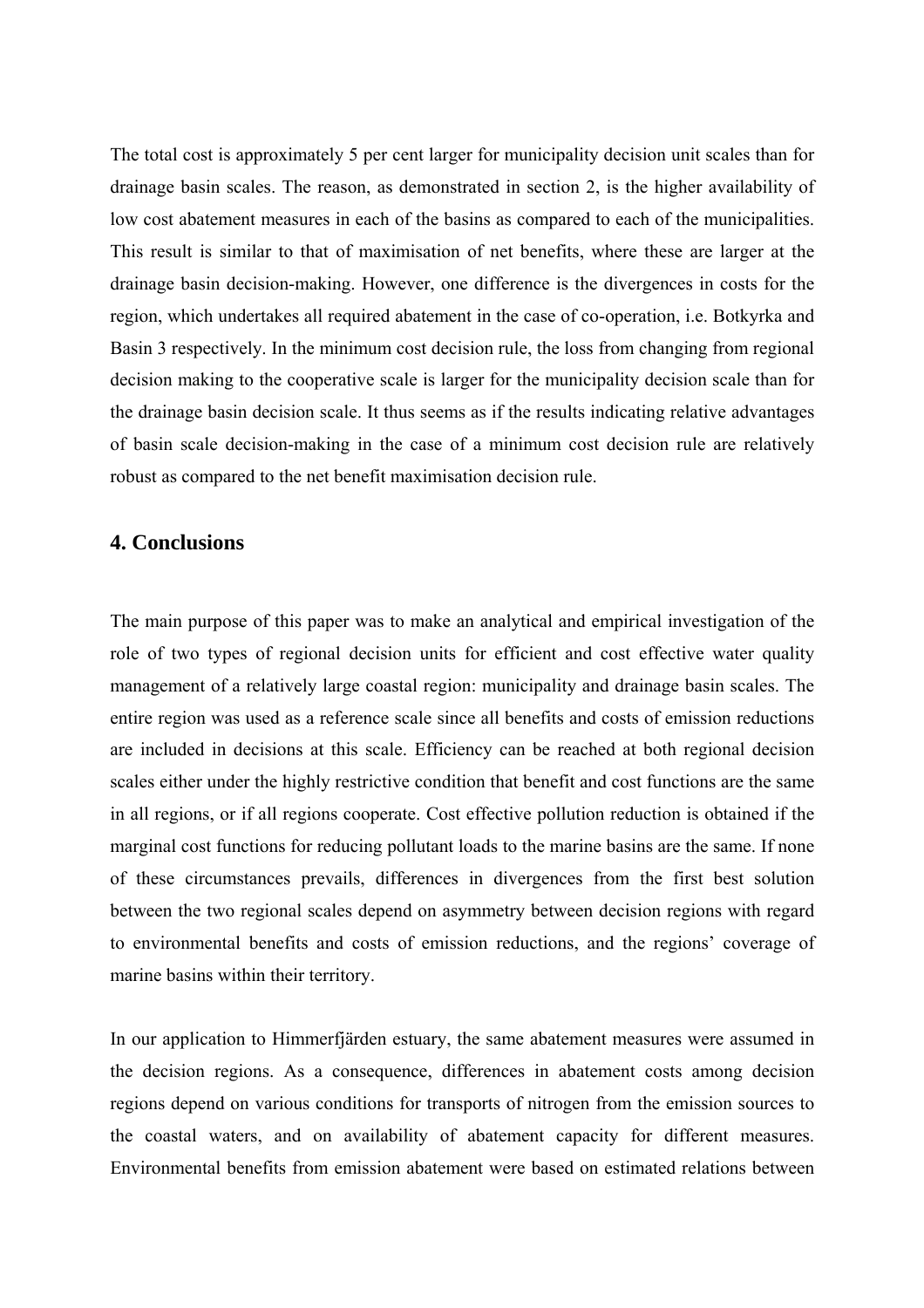The total cost is approximately 5 per cent larger for municipality decision unit scales than for drainage basin scales. The reason, as demonstrated in section 2, is the higher availability of low cost abatement measures in each of the basins as compared to each of the municipalities. This result is similar to that of maximisation of net benefits, where these are larger at the drainage basin decision-making. However, one difference is the divergences in costs for the region, which undertakes all required abatement in the case of co-operation, i.e. Botkyrka and Basin 3 respectively. In the minimum cost decision rule, the loss from changing from regional decision making to the cooperative scale is larger for the municipality decision scale than for the drainage basin decision scale. It thus seems as if the results indicating relative advantages of basin scale decision-making in the case of a minimum cost decision rule are relatively robust as compared to the net benefit maximisation decision rule.

#### **4. Conclusions**

The main purpose of this paper was to make an analytical and empirical investigation of the role of two types of regional decision units for efficient and cost effective water quality management of a relatively large coastal region: municipality and drainage basin scales. The entire region was used as a reference scale since all benefits and costs of emission reductions are included in decisions at this scale. Efficiency can be reached at both regional decision scales either under the highly restrictive condition that benefit and cost functions are the same in all regions, or if all regions cooperate. Cost effective pollution reduction is obtained if the marginal cost functions for reducing pollutant loads to the marine basins are the same. If none of these circumstances prevails, differences in divergences from the first best solution between the two regional scales depend on asymmetry between decision regions with regard to environmental benefits and costs of emission reductions, and the regions' coverage of marine basins within their territory.

In our application to Himmerfjärden estuary, the same abatement measures were assumed in the decision regions. As a consequence, differences in abatement costs among decision regions depend on various conditions for transports of nitrogen from the emission sources to the coastal waters, and on availability of abatement capacity for different measures. Environmental benefits from emission abatement were based on estimated relations between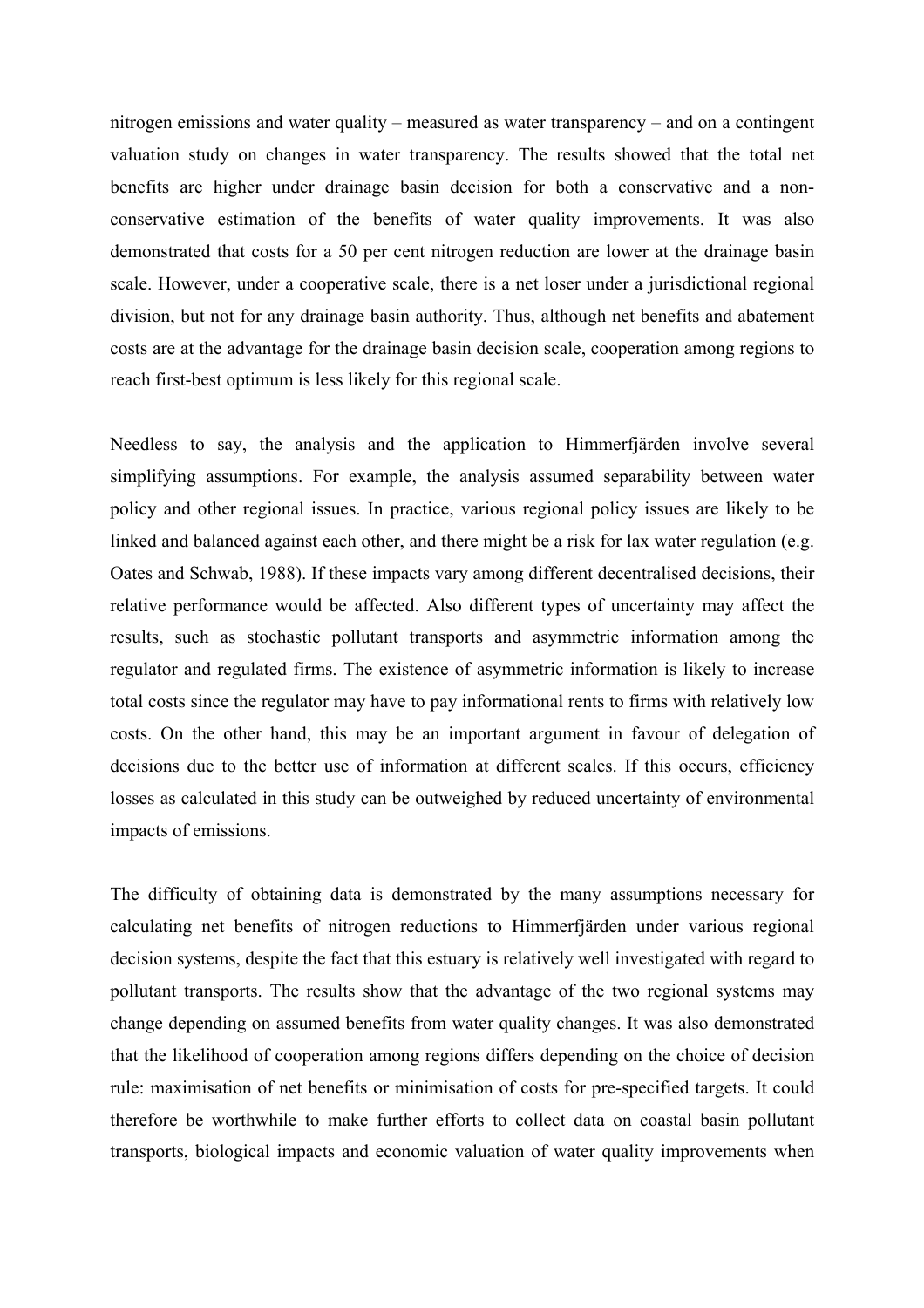nitrogen emissions and water quality – measured as water transparency – and on a contingent valuation study on changes in water transparency. The results showed that the total net benefits are higher under drainage basin decision for both a conservative and a nonconservative estimation of the benefits of water quality improvements. It was also demonstrated that costs for a 50 per cent nitrogen reduction are lower at the drainage basin scale. However, under a cooperative scale, there is a net loser under a jurisdictional regional division, but not for any drainage basin authority. Thus, although net benefits and abatement costs are at the advantage for the drainage basin decision scale, cooperation among regions to reach first-best optimum is less likely for this regional scale.

Needless to say, the analysis and the application to Himmerfjärden involve several simplifying assumptions. For example, the analysis assumed separability between water policy and other regional issues. In practice, various regional policy issues are likely to be linked and balanced against each other, and there might be a risk for lax water regulation (e.g. Oates and Schwab, 1988). If these impacts vary among different decentralised decisions, their relative performance would be affected. Also different types of uncertainty may affect the results, such as stochastic pollutant transports and asymmetric information among the regulator and regulated firms. The existence of asymmetric information is likely to increase total costs since the regulator may have to pay informational rents to firms with relatively low costs. On the other hand, this may be an important argument in favour of delegation of decisions due to the better use of information at different scales. If this occurs, efficiency losses as calculated in this study can be outweighed by reduced uncertainty of environmental impacts of emissions.

The difficulty of obtaining data is demonstrated by the many assumptions necessary for calculating net benefits of nitrogen reductions to Himmerfjärden under various regional decision systems, despite the fact that this estuary is relatively well investigated with regard to pollutant transports. The results show that the advantage of the two regional systems may change depending on assumed benefits from water quality changes. It was also demonstrated that the likelihood of cooperation among regions differs depending on the choice of decision rule: maximisation of net benefits or minimisation of costs for pre-specified targets. It could therefore be worthwhile to make further efforts to collect data on coastal basin pollutant transports, biological impacts and economic valuation of water quality improvements when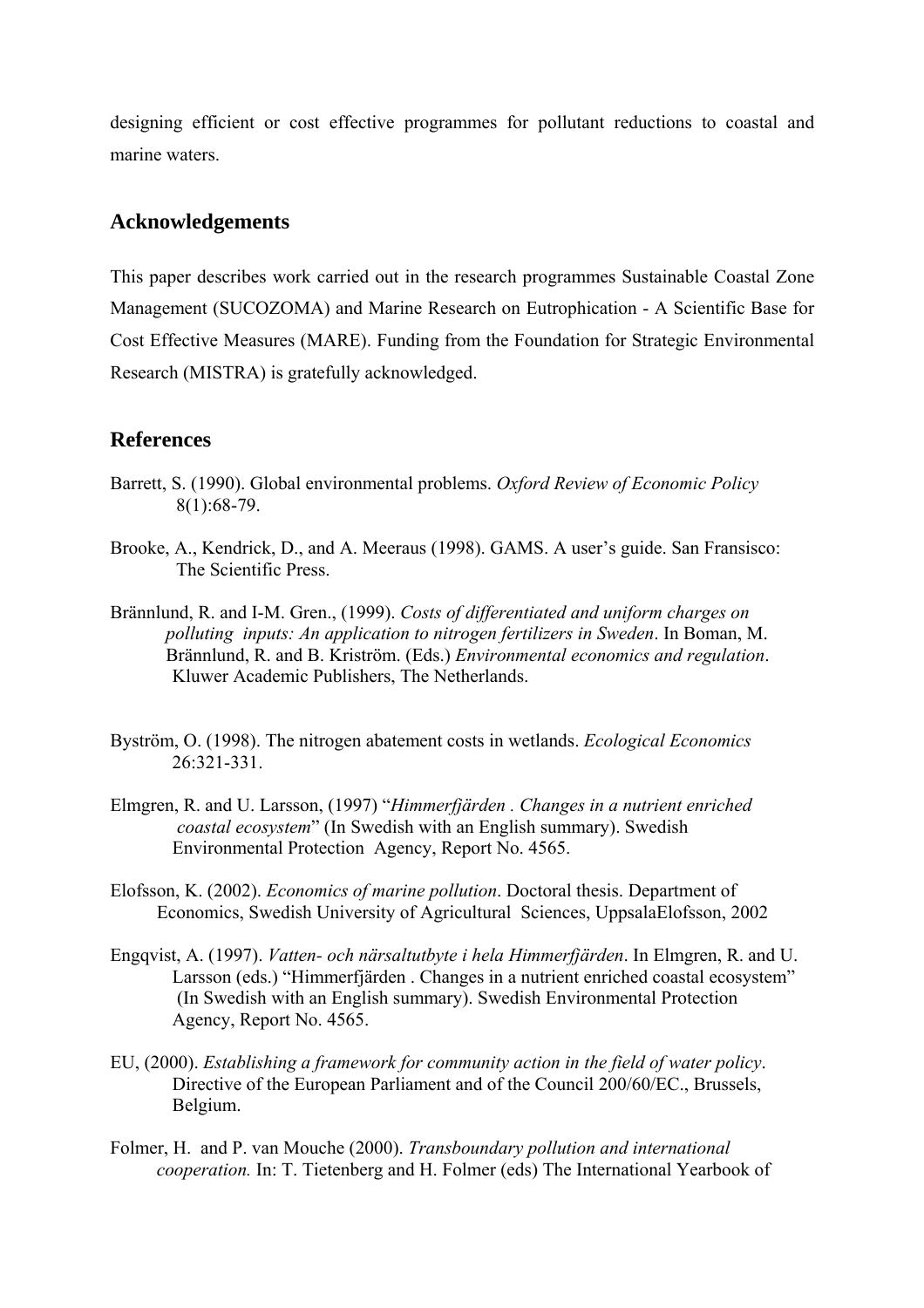designing efficient or cost effective programmes for pollutant reductions to coastal and marine waters.

#### **Acknowledgements**

This paper describes work carried out in the research programmes Sustainable Coastal Zone Management (SUCOZOMA) and Marine Research on Eutrophication - A Scientific Base for Cost Effective Measures (MARE). Funding from the Foundation for Strategic Environmental Research (MISTRA) is gratefully acknowledged.

#### **References**

- Barrett, S. (1990). Global environmental problems. *Oxford Review of Economic Policy* 8(1):68-79.
- Brooke, A., Kendrick, D., and A. Meeraus (1998). GAMS. A user's guide. San Fransisco: The Scientific Press.
- Brännlund, R. and I-M. Gren., (1999). *Costs of differentiated and uniform charges on polluting inputs: An application to nitrogen fertilizers in Sweden*. In Boman, M. Brännlund, R. and B. Kriström. (Eds.) *Environmental economics and regulation*. Kluwer Academic Publishers, The Netherlands.
- Byström, O. (1998). The nitrogen abatement costs in wetlands. *Ecological Economics*  26:321-331.
- Elmgren, R. and U. Larsson, (1997) "*Himmerfjärden . Changes in a nutrient enriched coastal ecosystem*" (In Swedish with an English summary). Swedish Environmental Protection Agency, Report No. 4565.
- Elofsson, K. (2002). *Economics of marine pollution*. Doctoral thesis. Department of Economics, Swedish University of Agricultural Sciences, UppsalaElofsson, 2002
- Engqvist, A. (1997). *Vatten- och närsaltutbyte i hela Himmerfjärden*. In Elmgren, R. and U. Larsson (eds.) "Himmerfjärden . Changes in a nutrient enriched coastal ecosystem" (In Swedish with an English summary). Swedish Environmental Protection Agency, Report No. 4565.
- EU, (2000). *Establishing a framework for community action in the field of water policy*. Directive of the European Parliament and of the Council 200/60/EC., Brussels, Belgium.
- Folmer, H. and P. van Mouche (2000). *Transboundary pollution and international cooperation.* In: T. Tietenberg and H. Folmer (eds) The International Yearbook of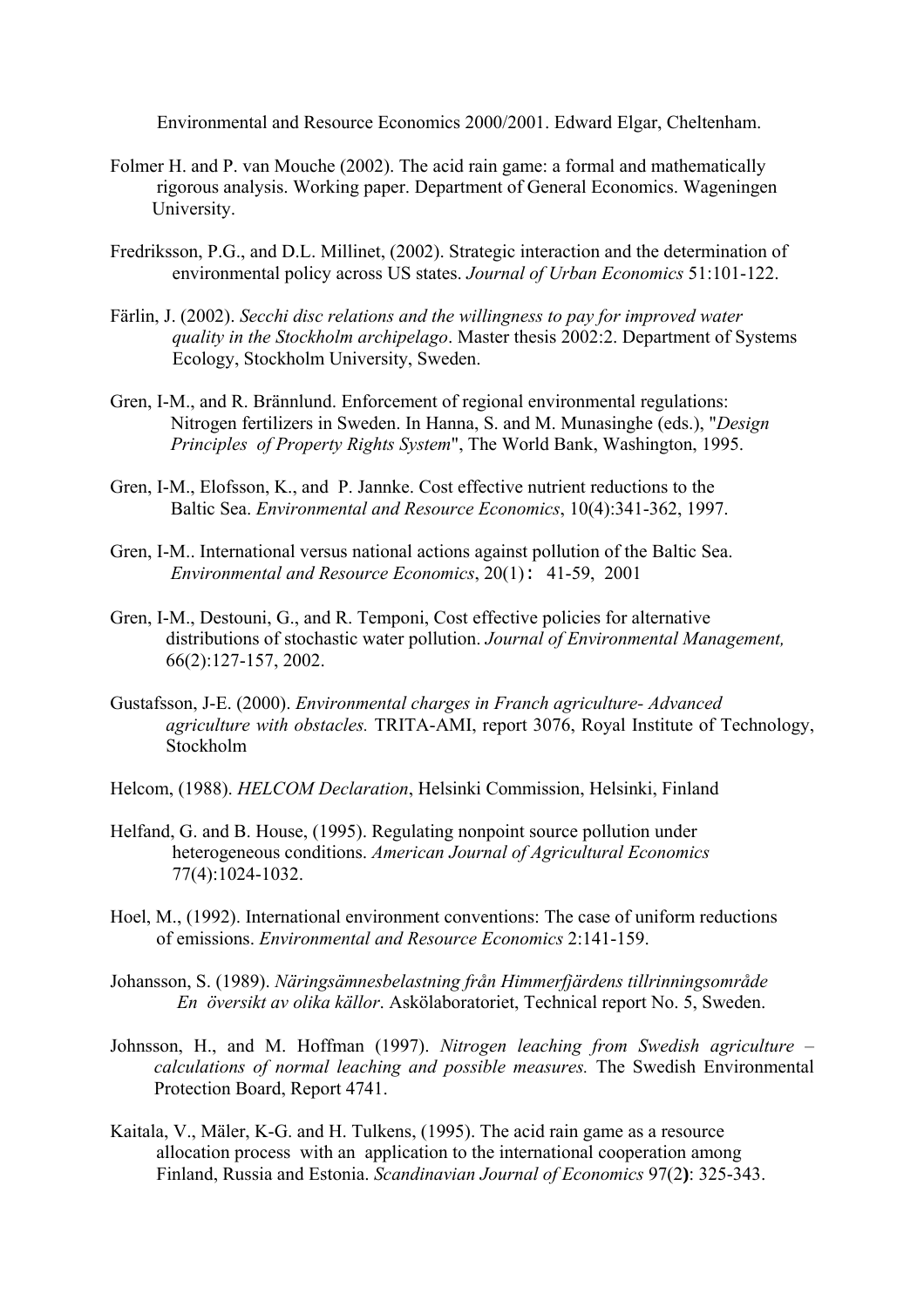Environmental and Resource Economics 2000/2001. Edward Elgar, Cheltenham.

- Folmer H. and P. van Mouche (2002). The acid rain game: a formal and mathematically rigorous analysis. Working paper. Department of General Economics. Wageningen University.
- Fredriksson, P.G., and D.L. Millinet, (2002). Strategic interaction and the determination of environmental policy across US states. *Journal of Urban Economics* 51:101-122.
- Färlin, J. (2002). *Secchi disc relations and the willingness to pay for improved water quality in the Stockholm archipelago*. Master thesis 2002:2. Department of Systems Ecology, Stockholm University, Sweden.
- Gren, I-M., and R. Brännlund. Enforcement of regional environmental regulations: Nitrogen fertilizers in Sweden. In Hanna, S. and M. Munasinghe (eds.), "*Design Principles of Property Rights System*", The World Bank, Washington, 1995.
- Gren, I-M., Elofsson, K., and P. Jannke. Cost effective nutrient reductions to the Baltic Sea. *Environmental and Resource Economics*, 10(4):341-362, 1997.
- Gren, I-M.. International versus national actions against pollution of the Baltic Sea. *Environmental and Resource Economics*, 20(1): 41-59, 2001
- Gren, I-M., Destouni, G., and R. Temponi, Cost effective policies for alternative distributions of stochastic water pollution. *Journal of Environmental Management,*  66(2):127-157, 2002.
- Gustafsson, J-E. (2000). *Environmental charges in Franch agriculture- Advanced agriculture with obstacles.* TRITA-AMI, report 3076, Royal Institute of Technology, Stockholm
- Helcom, (1988). *HELCOM Declaration*, Helsinki Commission, Helsinki, Finland
- Helfand, G. and B. House, (1995). Regulating nonpoint source pollution under heterogeneous conditions. *American Journal of Agricultural Economics* 77(4):1024-1032.
- Hoel, M., (1992). International environment conventions: The case of uniform reductions of emissions. *Environmental and Resource Economics* 2:141-159.
- Johansson, S. (1989). *Näringsämnesbelastning från Himmerfjärdens tillrinningsområde En översikt av olika källor*. Askölaboratoriet, Technical report No. 5, Sweden.
- Johnsson, H., and M. Hoffman (1997). *Nitrogen leaching from Swedish agriculture calculations of normal leaching and possible measures.* The Swedish Environmental Protection Board, Report 4741.
- Kaitala, V., Mäler, K-G. and H. Tulkens, (1995). The acid rain game as a resource allocation process with an application to the international cooperation among Finland, Russia and Estonia. *Scandinavian Journal of Economics* 97(2**)**: 325-343.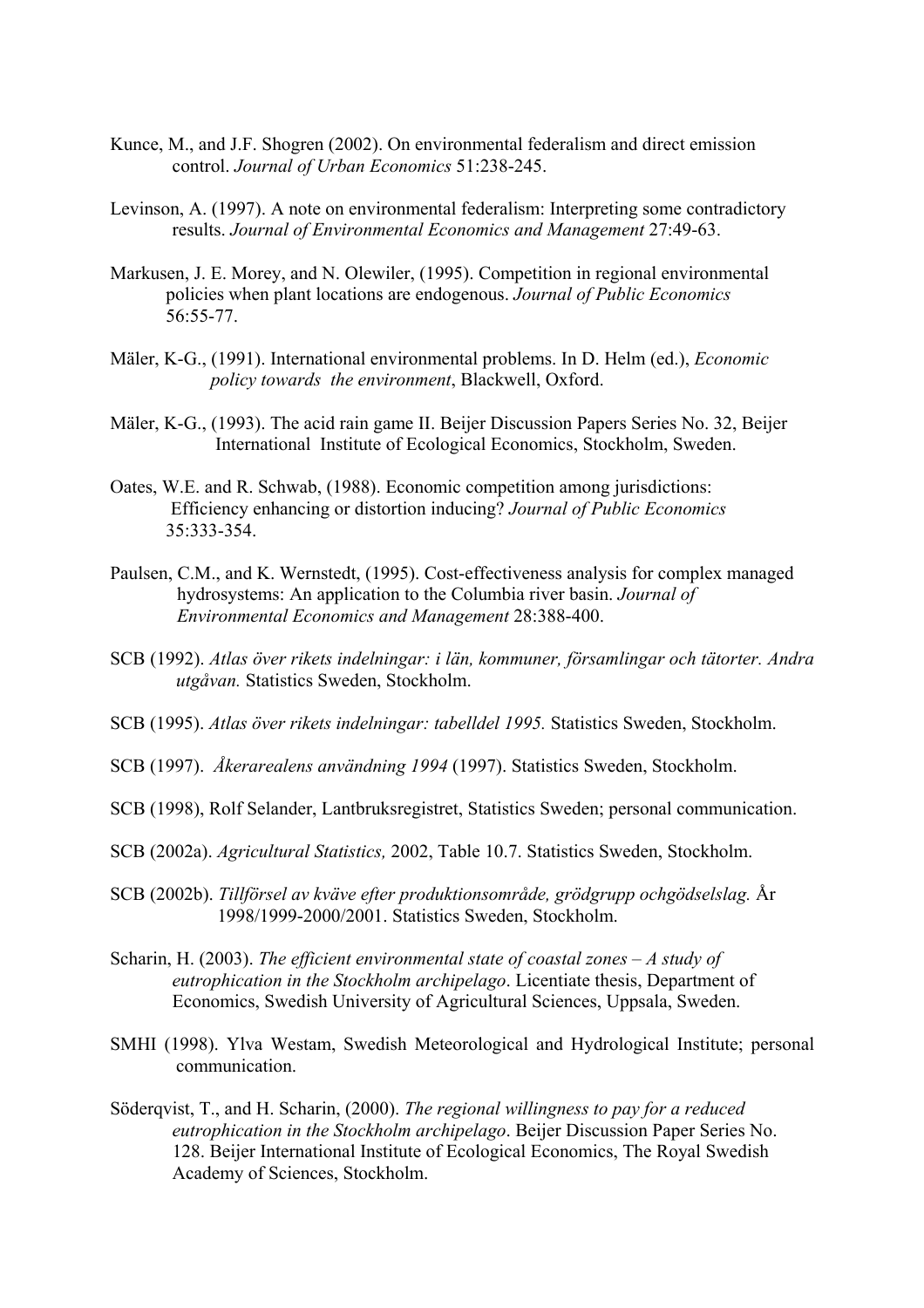- Kunce, M., and J.F. Shogren (2002). On environmental federalism and direct emission control. *Journal of Urban Economics* 51:238-245.
- Levinson, A. (1997). A note on environmental federalism: Interpreting some contradictory results. *Journal of Environmental Economics and Management* 27:49-63.
- Markusen, J. E. Morey, and N. Olewiler, (1995). Competition in regional environmental policies when plant locations are endogenous. *Journal of Public Economics* 56:55-77.
- Mäler, K-G., (1991). International environmental problems. In D. Helm (ed.), *Economic policy towards the environment*, Blackwell, Oxford.
- Mäler, K-G., (1993). The acid rain game II. Beijer Discussion Papers Series No. 32, Beijer International Institute of Ecological Economics, Stockholm, Sweden.
- Oates, W.E. and R. Schwab, (1988). Economic competition among jurisdictions: Efficiency enhancing or distortion inducing? *Journal of Public Economics* 35:333-354.
- Paulsen, C.M., and K. Wernstedt, (1995). Cost-effectiveness analysis for complex managed hydrosystems: An application to the Columbia river basin. *Journal of Environmental Economics and Management* 28:388-400.
- SCB (1992). *Atlas över rikets indelningar: i län, kommuner, församlingar och tätorter. Andra utgåvan.* Statistics Sweden, Stockholm.
- SCB (1995). *Atlas över rikets indelningar: tabelldel 1995.* Statistics Sweden, Stockholm.
- SCB (1997). *Åkerarealens användning 1994* (1997). Statistics Sweden, Stockholm.
- SCB (1998), Rolf Selander, Lantbruksregistret, Statistics Sweden; personal communication.
- SCB (2002a). *Agricultural Statistics,* 2002, Table 10.7. Statistics Sweden, Stockholm.
- SCB (2002b). *Tillförsel av kväve efter produktionsområde, grödgrupp ochgödselslag.* År 1998/1999-2000/2001. Statistics Sweden, Stockholm.
- Scharin, H. (2003). *The efficient environmental state of coastal zones A study of eutrophication in the Stockholm archipelago*. Licentiate thesis, Department of Economics, Swedish University of Agricultural Sciences, Uppsala, Sweden.
- SMHI (1998). Ylva Westam, Swedish Meteorological and Hydrological Institute; personal communication.
- Söderqvist, T., and H. Scharin, (2000). *The regional willingness to pay for a reduced eutrophication in the Stockholm archipelago*. Beijer Discussion Paper Series No. 128. Beijer International Institute of Ecological Economics, The Royal Swedish Academy of Sciences, Stockholm.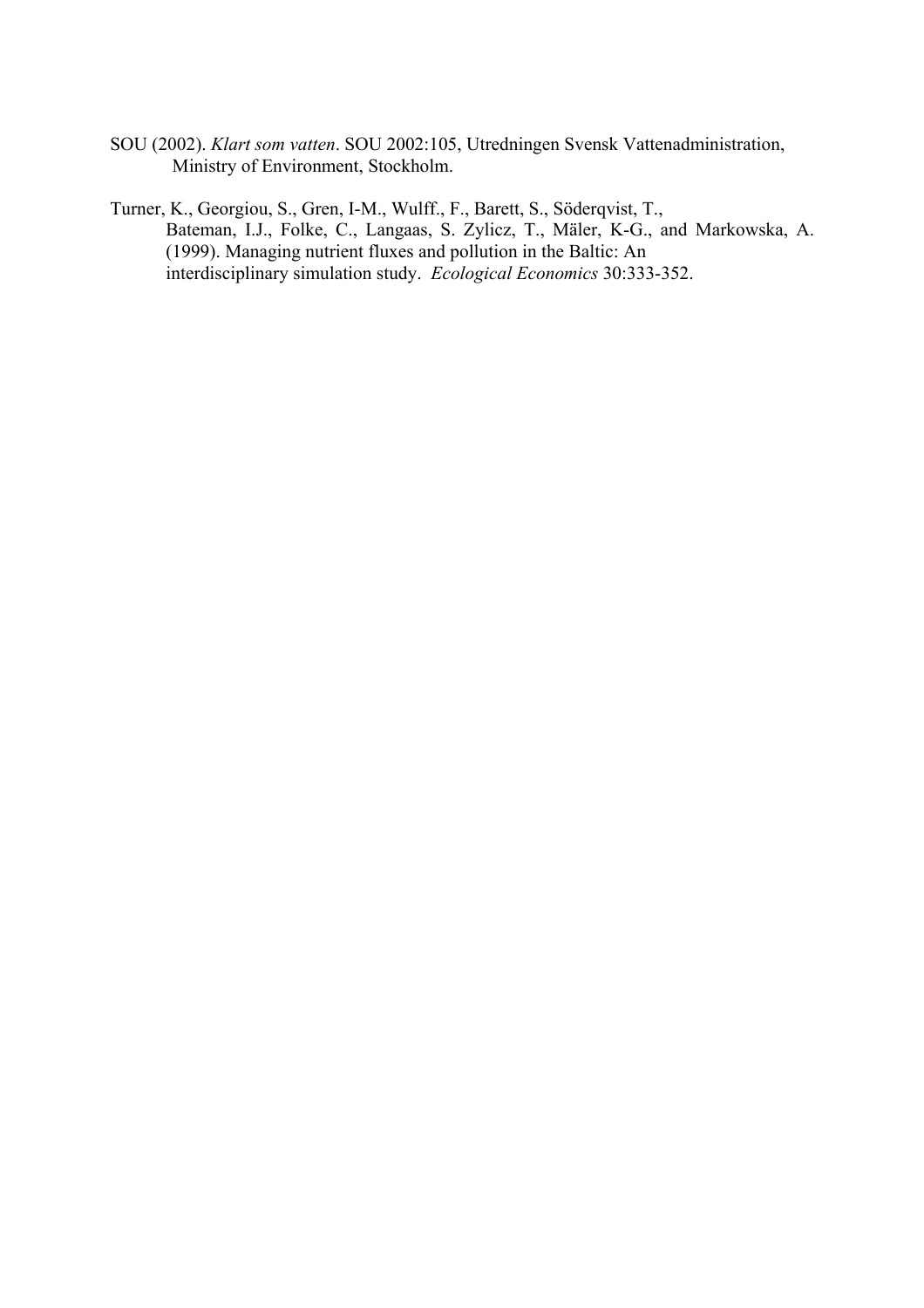SOU (2002). *Klart som vatten*. SOU 2002:105, Utredningen Svensk Vattenadministration, Ministry of Environment, Stockholm.

Turner, K., Georgiou, S., Gren, I-M., Wulff., F., Barett, S., Söderqvist, T., Bateman, I.J., Folke, C., Langaas, S. Zylicz, T., Mäler, K-G., and Markowska, A. (1999). Managing nutrient fluxes and pollution in the Baltic: An interdisciplinary simulation study. *Ecological Economics* 30:333-352.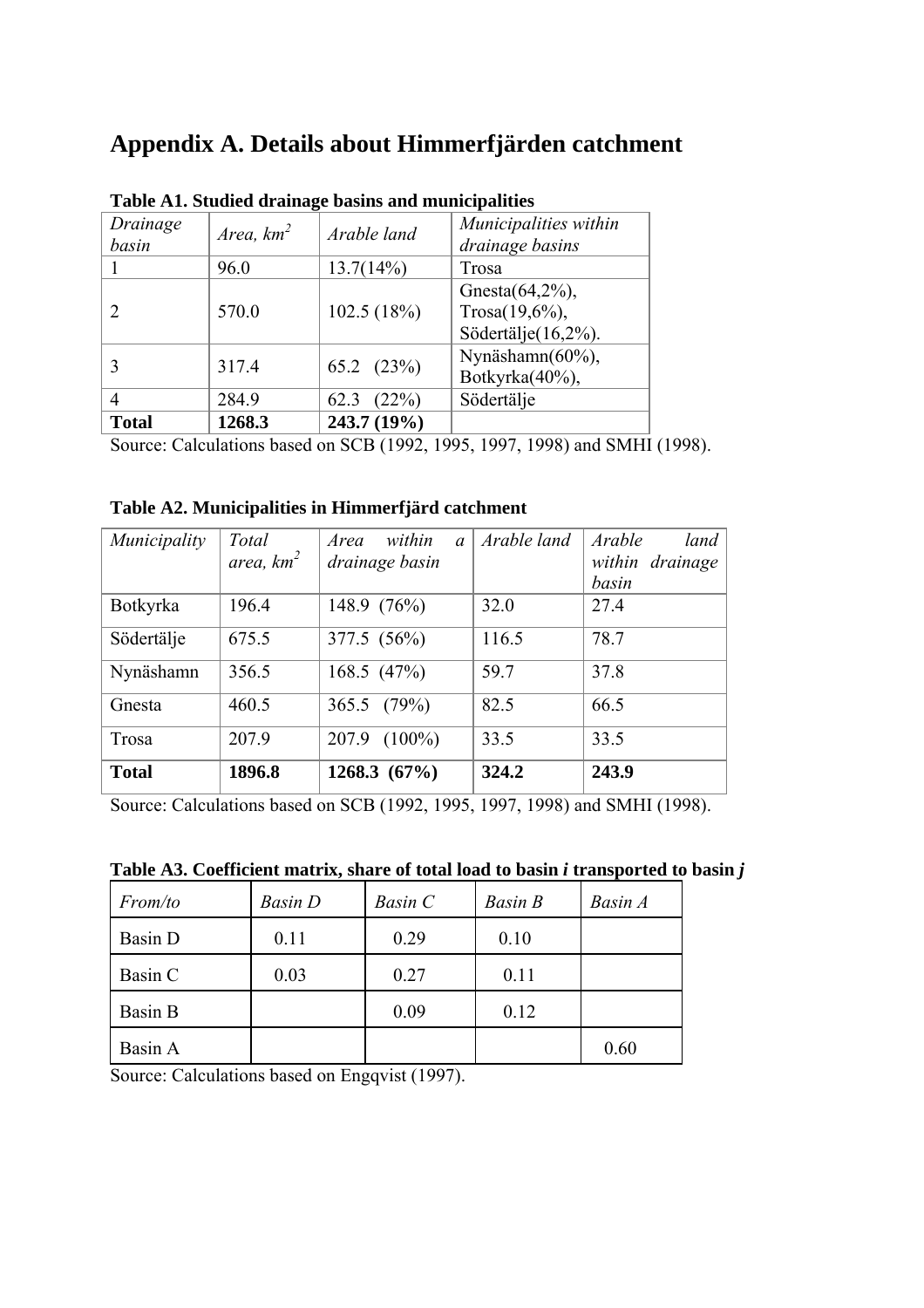## **Appendix A. Details about Himmerfjärden catchment**

|                   |              | Table AT. Studied dramage basins and municipalities |                                                                 |
|-------------------|--------------|-----------------------------------------------------|-----------------------------------------------------------------|
| Drainage<br>basin | Area, $km^2$ | Arable land                                         | Municipalities within<br>drainage basins                        |
|                   | 96.0         | 13.7(14%)                                           | Trosa                                                           |
| 2                 | 570.0        | 102.5(18%)                                          | Gnesta $(64,2\%)$ ,<br>Trosa $(19,6\%)$ ,<br>Södertälje(16,2%). |
| 3                 | 317.4        | $65.2$ $(23\%)$                                     | Nynäshamn(60%),<br>Botkyrka(40%),                               |
| 4                 | 284.9        | 62.3<br>(22%)                                       | Södertälje                                                      |
| <b>Total</b>      | 1268.3       | 243.7 (19%)                                         |                                                                 |

**Table A1. Studied drainage basins and municipalities** 

Source: Calculations based on SCB (1992, 1995, 1997, 1998) and SMHI (1998).

**Table A2. Municipalities in Himmerfjärd catchment** 

| Municipality | Total        | within<br>Area<br>$\mathfrak a$ | Arable land | Arable<br>land  |
|--------------|--------------|---------------------------------|-------------|-----------------|
|              | area, $km^2$ | drainage basin                  |             | within drainage |
|              |              |                                 |             | basin           |
| Botkyrka     | 196.4        | 148.9 (76%)                     | 32.0        | 27.4            |
| Södertälje   | 675.5        | 377.5 (56%)                     | 116.5       | 78.7            |
| Nynäshamn    | 356.5        | 168.5 $(47%)$                   | 59.7        | 37.8            |
| Gnesta       | 460.5        | 365.5 $(79%)$                   | 82.5        | 66.5            |
| Trosa        | 207.9        | $(100\%)$<br>207.9              | 33.5        | 33.5            |
| <b>Total</b> | 1896.8       | 1268.3 $(67\%)$                 | 324.2       | 243.9           |

Source: Calculations based on SCB (1992, 1995, 1997, 1998) and SMHI (1998).

| From/to | <b>Basin</b> D | Basin C | <b>Basin B</b> | Basin A |
|---------|----------------|---------|----------------|---------|
| Basin D | 0.11           | 0.29    | 0.10           |         |
| Basin C | 0.03           | 0.27    | 0.11           |         |
| Basin B |                | 0.09    | 0.12           |         |
| Basin A |                |         |                | 0.60    |

**Table A3. Coefficient matrix, share of total load to basin** *i* **transported to basin** *j*

Source: Calculations based on Engqvist (1997).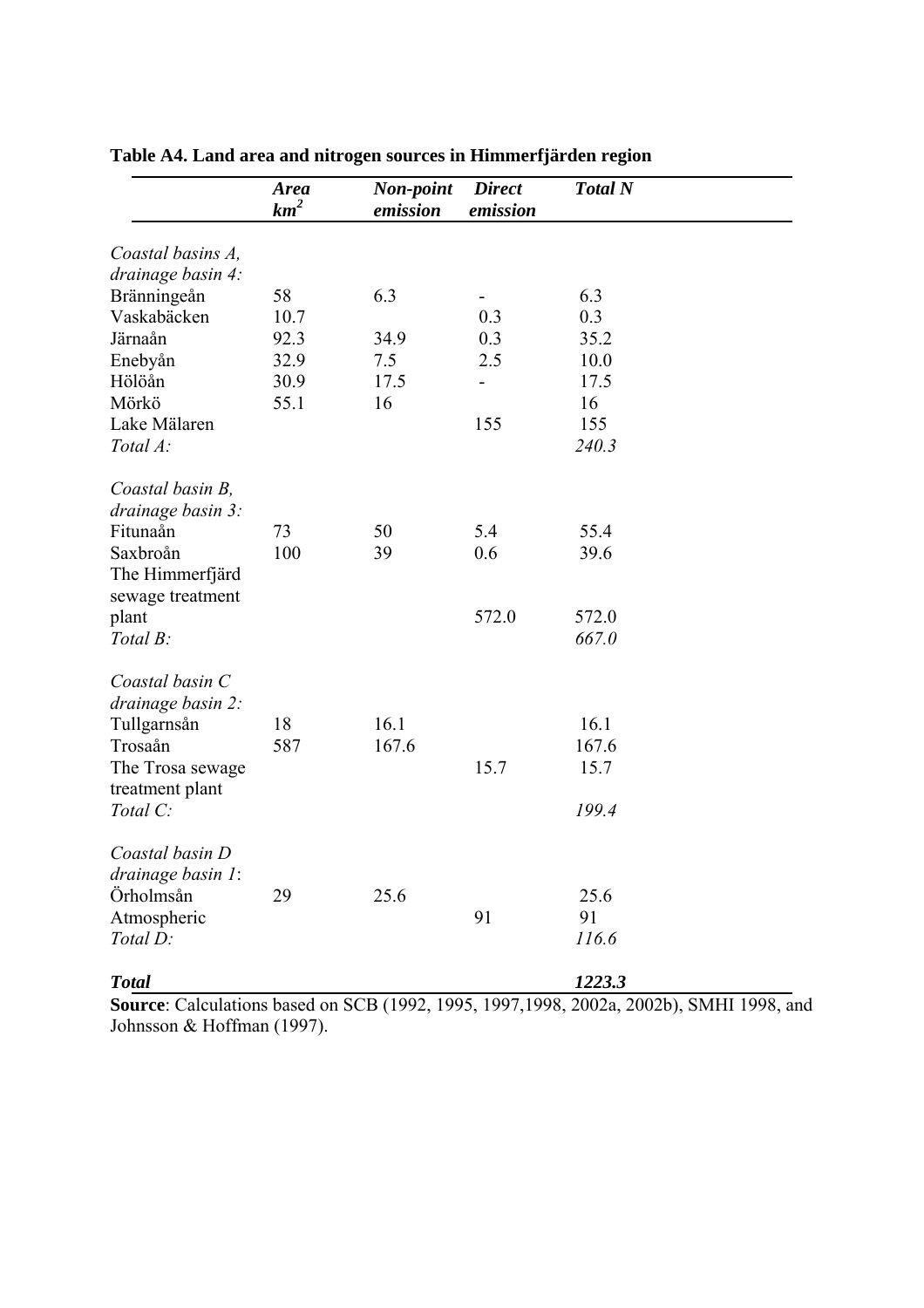|                                        | <b>Area</b><br>$km^2$ | Non-point<br>emission | <b>Direct</b><br>emission | <b>Total N</b> |
|----------------------------------------|-----------------------|-----------------------|---------------------------|----------------|
| Coastal basins A,<br>drainage basin 4: |                       |                       |                           |                |
|                                        | 58                    | 6.3                   |                           | 6.3            |
| Bränningeån<br>Vaskabäcken             | 10.7                  |                       | 0.3                       | 0.3            |
| Järnaån                                | 92.3                  | 34.9                  | 0.3                       | 35.2           |
| Enebyån                                | 32.9                  | 7.5                   | 2.5                       | 10.0           |
| Hölöån                                 | 30.9                  | 17.5                  |                           | 17.5           |
| Mörkö                                  | 55.1                  | 16                    |                           | 16             |
| Lake Mälaren                           |                       |                       | 155                       | 155            |
| Total A:                               |                       |                       |                           | 240.3          |
|                                        |                       |                       |                           |                |
| Coastal basin B,<br>drainage basin 3:  |                       |                       |                           |                |
| Fitunaån                               | 73                    | 50                    | 5.4                       | 55.4           |
| Saxbroån                               | 100                   | 39                    | 0.6                       | 39.6           |
| The Himmerfjärd                        |                       |                       |                           |                |
| sewage treatment                       |                       |                       |                           |                |
| plant                                  |                       |                       | 572.0                     | 572.0          |
| Total B:                               |                       |                       |                           | 667.0          |
|                                        |                       |                       |                           |                |
| Coastal basin C                        |                       |                       |                           |                |
| drainage basin 2:                      |                       |                       |                           |                |
| Tullgarnsån                            | 18                    | 16.1                  |                           | 16.1           |
| Trosaån                                | 587                   | 167.6                 |                           | 167.6          |
| The Trosa sewage                       |                       |                       | 15.7                      | 15.7           |
| treatment plant                        |                       |                       |                           |                |
| Total C:                               |                       |                       |                           | 199.4          |
|                                        |                       |                       |                           |                |
| Coastal basin D                        |                       |                       |                           |                |
| drainage basin 1:                      |                       |                       |                           |                |
| Örholmsån                              | 29                    | 25.6                  |                           | 25.6           |
| Atmospheric                            |                       |                       | 91                        | 91             |
| Total D:                               |                       |                       |                           | 116.6          |
|                                        |                       |                       |                           |                |
| <b>Total</b>                           |                       |                       |                           | 1223.3         |

**Table A4. Land area and nitrogen sources in Himmerfjärden region**

**Source**: Calculations based on SCB (1992, 1995, 1997,1998, 2002a, 2002b), SMHI 1998, and Johnsson & Hoffman (1997).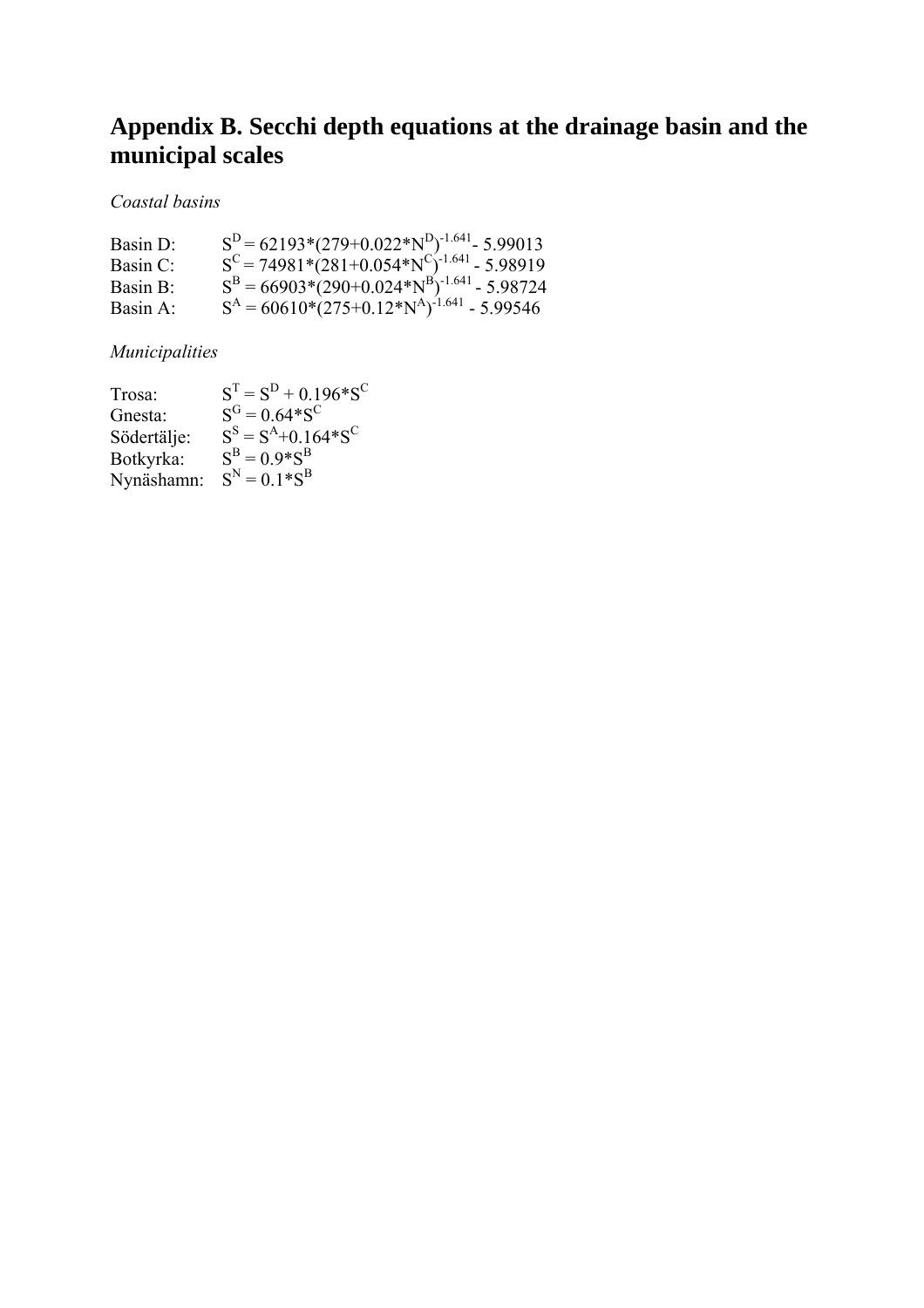# **Appendix B. Secchi depth equations at the drainage basin and the municipal scales**

### *Coastal basins*

| Basin D:             | $SD$ = 62193*(279+0.022*N <sup>D</sup> ) <sup>-1.641</sup> - 5.99013                    |
|----------------------|-----------------------------------------------------------------------------------------|
| Basin C <sup>-</sup> | $S^{C} = 74981*(281+0.054*NC)-1.641 - 5.98919SB = 66903*(290+0.024*NB)-1.641 - 5.98724$ |
| Basin $B^+$          |                                                                                         |
| Basin $A^+$          | $SA = 60610*(275+0.12*NA)-1.641 - 5.99546$                                              |

## *Municipalities*

| Trosa:      | $ST = SD + 0.196 * SC$    |
|-------------|---------------------------|
| Gnesta:     | $S^G = 0.64 * S^C$        |
| Södertälje: | $S^S = S^A + 0.164 * S^C$ |
| Botkyrka:   | $S^B = 0.9 * S^B$         |
| Nynäshamn:  | $S^N = 0.1 * S^B$         |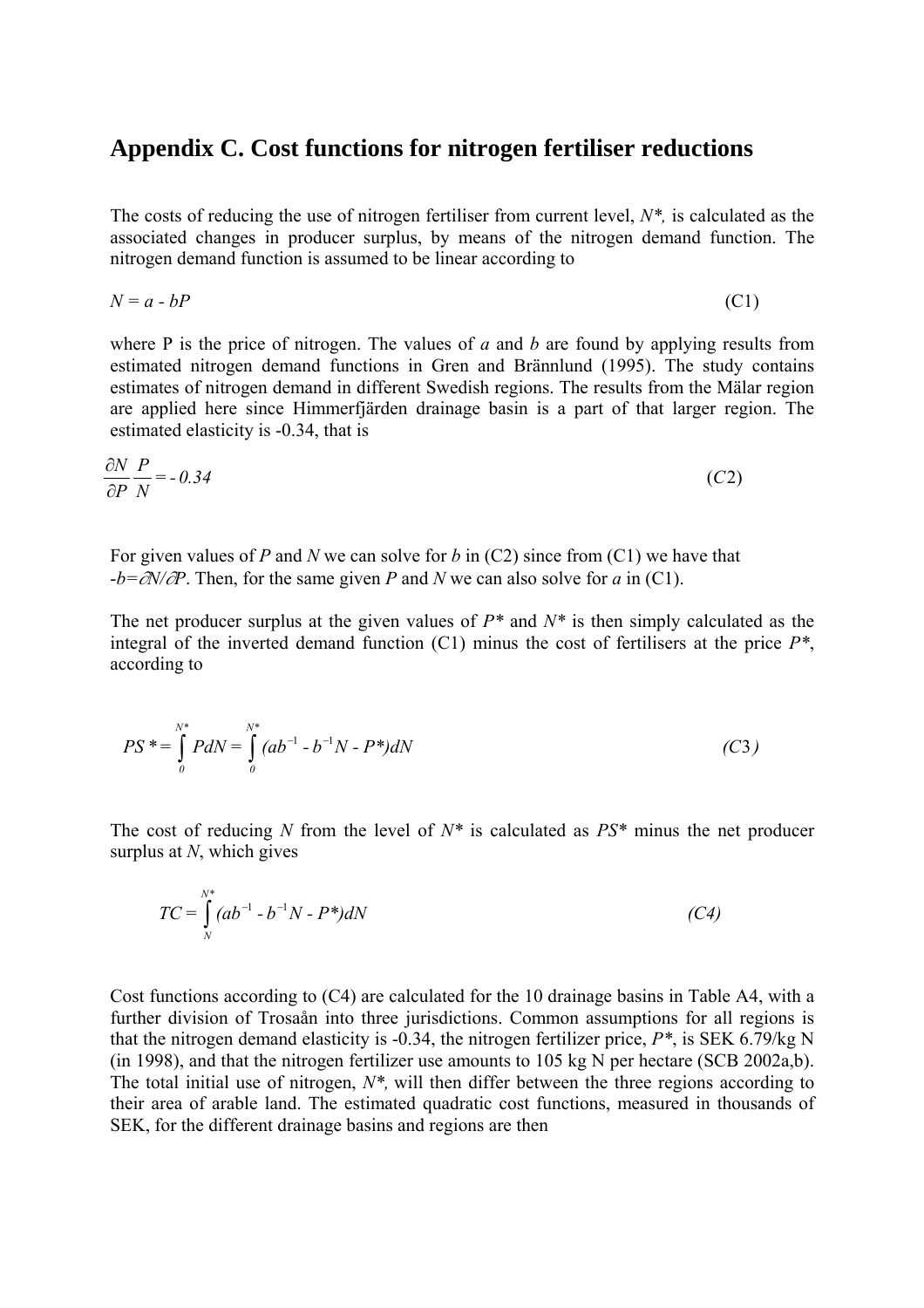### **Appendix C. Cost functions for nitrogen fertiliser reductions**

The costs of reducing the use of nitrogen fertiliser from current level, *N\*,* is calculated as the associated changes in producer surplus, by means of the nitrogen demand function. The nitrogen demand function is assumed to be linear according to

$$
N = a - bP \tag{C1}
$$

where P is the price of nitrogen. The values of *a* and *b* are found by applying results from estimated nitrogen demand functions in Gren and Brännlund (1995). The study contains estimates of nitrogen demand in different Swedish regions. The results from the Mälar region are applied here since Himmerfjärden drainage basin is a part of that larger region. The estimated elasticity is -0.34, that is

$$
\frac{\partial N}{\partial P} \frac{P}{N} = -0.34\tag{C2}
$$

For given values of *P* and *N* we can solve for *b* in (C2) since from (C1) we have that -*b=*∂*N/*∂*P*. Then, for the same given *P* and *N* we can also solve for *a* in (C1).

The net producer surplus at the given values of *P\** and *N\** is then simply calculated as the integral of the inverted demand function (C1) minus the cost of fertilisers at the price *P\**, according to

$$
PS^* = \int_0^{N^*} P dN = \int_0^{N^*} (ab^{-1} - b^{-1}N - P^*) dN
$$
 (C3)

The cost of reducing *N* from the level of *N\** is calculated as *PS\** minus the net producer surplus at *N*, which gives

$$
TC = \int_{N}^{N^*} (ab^{-1} - b^{-1}N - P^*) dN
$$
 (C4)

Cost functions according to (C4) are calculated for the 10 drainage basins in Table A4, with a further division of Trosaån into three jurisdictions. Common assumptions for all regions is that the nitrogen demand elasticity is -0.34, the nitrogen fertilizer price, *P\**, is SEK 6.79/kg N (in 1998), and that the nitrogen fertilizer use amounts to 105 kg N per hectare (SCB 2002a,b). The total initial use of nitrogen, *N\*,* will then differ between the three regions according to their area of arable land. The estimated quadratic cost functions, measured in thousands of SEK, for the different drainage basins and regions are then